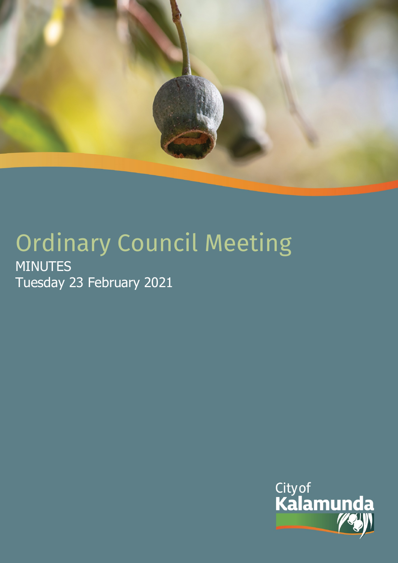

# Ordinary Council Meeting MINUTES Tuesday 23 February 2021

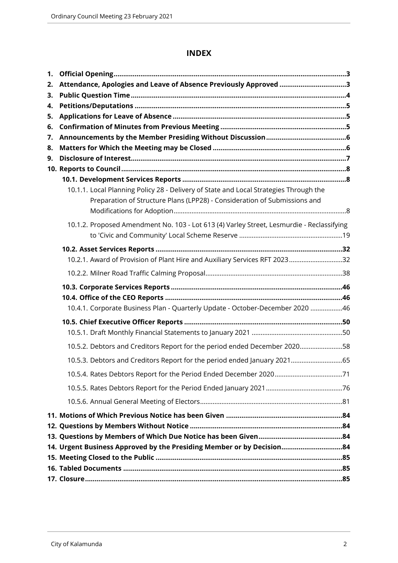# **INDEX**

| 1.       |                                                                                                                                                                    |  |
|----------|--------------------------------------------------------------------------------------------------------------------------------------------------------------------|--|
| 2.       | Attendance, Apologies and Leave of Absence Previously Approved 3                                                                                                   |  |
| 3.       |                                                                                                                                                                    |  |
| 4.       |                                                                                                                                                                    |  |
| 5.       |                                                                                                                                                                    |  |
| 6.       |                                                                                                                                                                    |  |
| 7.<br>8. |                                                                                                                                                                    |  |
| 9.       |                                                                                                                                                                    |  |
|          |                                                                                                                                                                    |  |
|          |                                                                                                                                                                    |  |
|          | 10.1.1. Local Planning Policy 28 - Delivery of State and Local Strategies Through the<br>Preparation of Structure Plans (LPP28) - Consideration of Submissions and |  |
|          | 10.1.2. Proposed Amendment No. 103 - Lot 613 (4) Varley Street, Lesmurdie - Reclassifying                                                                          |  |
|          |                                                                                                                                                                    |  |
|          | 10.2.1. Award of Provision of Plant Hire and Auxiliary Services RFT 202332                                                                                         |  |
|          |                                                                                                                                                                    |  |
|          |                                                                                                                                                                    |  |
|          |                                                                                                                                                                    |  |
|          | 10.4.1. Corporate Business Plan - Quarterly Update - October-December 2020 46                                                                                      |  |
|          |                                                                                                                                                                    |  |
|          |                                                                                                                                                                    |  |
|          | 10.5.2. Debtors and Creditors Report for the period ended December 202058                                                                                          |  |
|          | 10.5.3. Debtors and Creditors Report for the period ended January 202165                                                                                           |  |
|          |                                                                                                                                                                    |  |
|          |                                                                                                                                                                    |  |
|          |                                                                                                                                                                    |  |
|          |                                                                                                                                                                    |  |
|          |                                                                                                                                                                    |  |
|          |                                                                                                                                                                    |  |
|          | 14. Urgent Business Approved by the Presiding Member or by Decision84                                                                                              |  |
|          |                                                                                                                                                                    |  |
|          |                                                                                                                                                                    |  |
|          |                                                                                                                                                                    |  |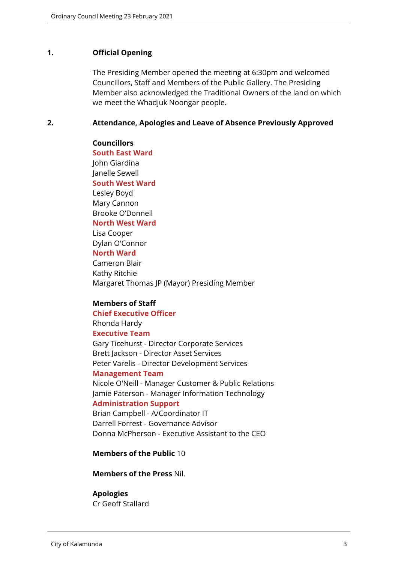#### <span id="page-2-0"></span>**1. Official Opening**

The Presiding Member opened the meeting at 6:30pm and welcomed Councillors, Staff and Members of the Public Gallery. The Presiding Member also acknowledged the Traditional Owners of the land on which we meet the Whadjuk Noongar people.

#### <span id="page-2-1"></span>**2. Attendance, Apologies and Leave of Absence Previously Approved**

#### **Councillors**

**South East Ward**  John Giardina Janelle Sewell **South West Ward** Lesley Boyd Mary Cannon Brooke O'Donnell **North West Ward**

Lisa Cooper Dylan O'Connor **North Ward**

Cameron Blair

Kathy Ritchie Margaret Thomas JP (Mayor) Presiding Member

#### **Members of Staff**

# **Chief Executive Officer**

Rhonda Hardy

# **Executive Team**

Gary Ticehurst - Director Corporate Services Brett Jackson - Director Asset Services Peter Varelis - Director Development Services

#### **Management Team**

Nicole O'Neill - Manager Customer & Public Relations Jamie Paterson - Manager Information Technology

#### **Administration Support**

Brian Campbell - A/Coordinator IT Darrell Forrest - Governance Advisor Donna McPherson - Executive Assistant to the CEO

#### **Members of the Public** 10

#### **Members of the Press** Nil.

#### **Apologies**

Cr Geoff Stallard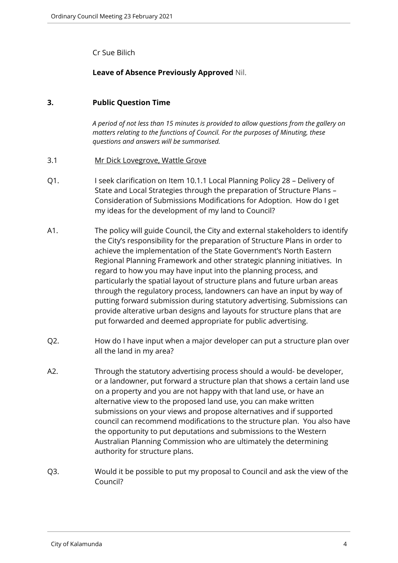Cr Sue Bilich

# **Leave of Absence Previously Approved** Nil.

# <span id="page-3-0"></span>**3. Public Question Time**

*A period of not less than 15 minutes is provided to allow questions from the gallery on matters relating to the functions of Council. For the purposes of Minuting, these questions and answers will be summarised.*

# 3.1 Mr Dick Lovegrove, Wattle Grove

- Q1. I seek clarification on Item 10.1.1 Local Planning Policy 28 Delivery of State and Local Strategies through the preparation of Structure Plans – Consideration of Submissions Modifications for Adoption. How do I get my ideas for the development of my land to Council?
- A1. The policy will guide Council, the City and external stakeholders to identify the City's responsibility for the preparation of Structure Plans in order to achieve the implementation of the State Government's North Eastern Regional Planning Framework and other strategic planning initiatives. In regard to how you may have input into the planning process, and particularly the spatial layout of structure plans and future urban areas through the regulatory process, landowners can have an input by way of putting forward submission during statutory advertising. Submissions can provide alterative urban designs and layouts for structure plans that are put forwarded and deemed appropriate for public advertising.
- Q2. How do I have input when a major developer can put a structure plan over all the land in my area?
- A2. Through the statutory advertising process should a would- be developer, or a landowner, put forward a structure plan that shows a certain land use on a property and you are not happy with that land use, or have an alternative view to the proposed land use, you can make written submissions on your views and propose alternatives and if supported council can recommend modifications to the structure plan. You also have the opportunity to put deputations and submissions to the Western Australian Planning Commission who are ultimately the determining authority for structure plans.
- Q3. Would it be possible to put my proposal to Council and ask the view of the Council?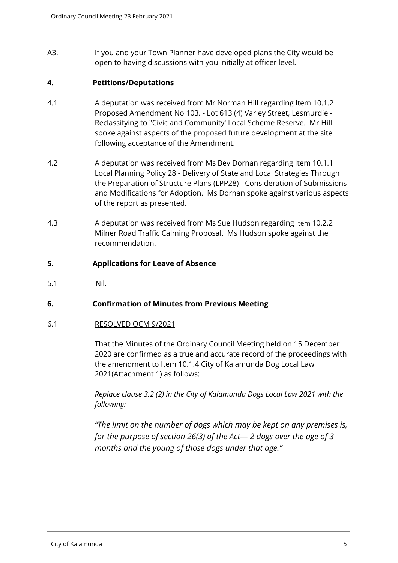A3. If you and your Town Planner have developed plans the City would be open to having discussions with you initially at officer level.

# <span id="page-4-0"></span>**4. Petitions/Deputations**

- 4.1 A deputation was received from Mr Norman Hill regarding Item 10.1.2 Proposed Amendment No 103. - Lot 613 (4) Varley Street, Lesmurdie - Reclassifying to "Civic and Community' Local Scheme Reserve. Mr Hill spoke against aspects of the proposed future development at the site following acceptance of the Amendment.
- 4.2 A deputation was received from Ms Bev Dornan regarding Item 10.1.1 Local Planning Policy 28 - Delivery of State and Local Strategies Through the Preparation of Structure Plans (LPP28) - Consideration of Submissions and Modifications for Adoption. Ms Dornan spoke against various aspects of the report as presented.
- 4.3 A deputation was received from Ms Sue Hudson regarding Item 10.2.2 Milner Road Traffic Calming Proposal. Ms Hudson spoke against the recommendation.

# <span id="page-4-1"></span>**5. Applications for Leave of Absence**

5.1 Nil.

# <span id="page-4-2"></span>**6. Confirmation of Minutes from Previous Meeting**

#### 6.1 RESOLVED OCM 9/2021

That the Minutes of the Ordinary Council Meeting held on 15 December 2020 are confirmed as a true and accurate record of the proceedings with the amendment to Item 10.1.4 City of Kalamunda Dog Local Law 2021(Attachment 1) as follows:

*Replace clause 3.2 (2) in the City of Kalamunda Dogs Local Law 2021 with the following: -*

*"The limit on the number of dogs which may be kept on any premises is, for the purpose of section 26(3) of the Act— 2 dogs over the age of 3 months and the young of those dogs under that age."*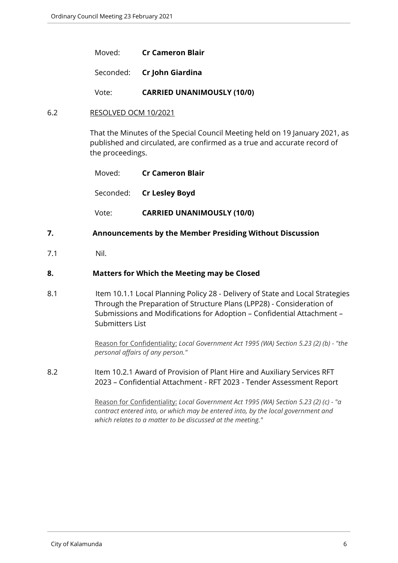Moved: **Cr Cameron Blair**

Seconded: **Cr John Giardina**

Vote: **CARRIED UNANIMOUSLY (10/0)**

#### 6.2 RESOLVED OCM 10/2021

That the Minutes of the Special Council Meeting held on 19 January 2021, as published and circulated, are confirmed as a true and accurate record of the proceedings.

| Moved: | Cr Cameron Blair                  |  |
|--------|-----------------------------------|--|
|        | Seconded: <b>Cr Lesley Boyd</b>   |  |
| Vote:  | <b>CARRIED UNANIMOUSLY (10/0)</b> |  |

#### <span id="page-5-0"></span>**7. Announcements by the Member Presiding Without Discussion**

7.1 Nil.

#### <span id="page-5-1"></span>**8. Matters for Which the Meeting may be Closed**

8.1 Item 10.1.1 Local Planning Policy 28 - Delivery of State and Local Strategies Through the Preparation of Structure Plans (LPP28) - Consideration of Submissions and Modifications for Adoption – Confidential Attachment – Submitters List

> Reason for Confidentiality: *Local Government Act 1995 (WA) Section 5.23 (2) (b) - "the personal affairs of any person."*

8.2 Item 10.2.1 Award of Provision of Plant Hire and Auxiliary Services RFT 2023 – Confidential Attachment - RFT 2023 - Tender Assessment Report

> Reason for Confidentiality: *Local Government Act 1995 (WA) Section 5.23 (2) (c) - "a contract entered into, or which may be entered into, by the local government and which relates to a matter to be discussed at the meeting."*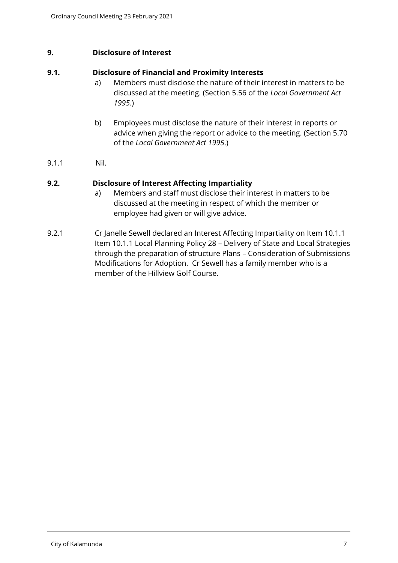#### <span id="page-6-0"></span>**9. Disclosure of Interest**

#### **9.1. Disclosure of Financial and Proximity Interests**

- a) Members must disclose the nature of their interest in matters to be discussed at the meeting. (Section 5.56 of the *Local Government Act 1995*.)
- b) Employees must disclose the nature of their interest in reports or advice when giving the report or advice to the meeting. (Section 5.70 of the *Local Government Act 1995*.)
- 9.1.1 Nil.

# **9.2. Disclosure of Interest Affecting Impartiality**

- a) Members and staff must disclose their interest in matters to be discussed at the meeting in respect of which the member or employee had given or will give advice.
- 9.2.1 Cr Janelle Sewell declared an Interest Affecting Impartiality on Item 10.1.1 Item 10.1.1 Local Planning Policy 28 – Delivery of State and Local Strategies through the preparation of structure Plans – Consideration of Submissions Modifications for Adoption. Cr Sewell has a family member who is a member of the Hillview Golf Course.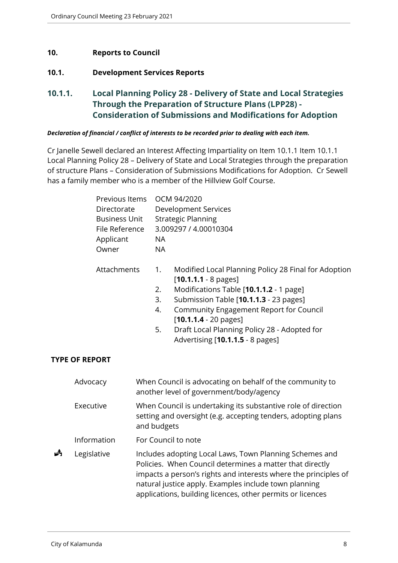# <span id="page-7-0"></span>**10. Reports to Council**

# <span id="page-7-1"></span>**10.1. Development Services Reports**

<span id="page-7-2"></span>**10.1.1. Local Planning Policy 28 - Delivery of State and Local Strategies Through the Preparation of Structure Plans (LPP28) - Consideration of Submissions and Modifications for Adoption**

#### *Declaration of financial / conflict of interests to be recorded prior to dealing with each item.*

Cr Janelle Sewell declared an Interest Affecting Impartiality on Item 10.1.1 Item 10.1.1 Local Planning Policy 28 – Delivery of State and Local Strategies through the preparation of structure Plans – Consideration of Submissions Modifications for Adoption. Cr Sewell has a family member who is a member of the Hillview Golf Course.

|   | Owner                                | Previous Items<br>Directorate<br><b>Business Unit</b><br>File Reference<br>Applicant |                            | OCM 94/2020<br><b>Development Services</b><br><b>Strategic Planning</b><br>3.009297 / 4.00010304                                                                                                                                                                                                                                                     |
|---|--------------------------------------|--------------------------------------------------------------------------------------|----------------------------|------------------------------------------------------------------------------------------------------------------------------------------------------------------------------------------------------------------------------------------------------------------------------------------------------------------------------------------------------|
|   | Attachments<br><b>TYPE OF REPORT</b> |                                                                                      | 1.<br>2.<br>3.<br>4.<br>5. | Modified Local Planning Policy 28 Final for Adoption<br>$[10.1.1.1 - 8 \text{ pages}]$<br>Modifications Table [10.1.1.2 - 1 page]<br>Submission Table [10.1.1.3 - 23 pages]<br><b>Community Engagement Report for Council</b><br>$[10.1.1.4 - 20 \text{ pages}]$<br>Draft Local Planning Policy 28 - Adopted for<br>Advertising [10.1.1.5 - 8 pages] |
|   | Advocacy                             |                                                                                      |                            | When Council is advocating on behalf of the community to<br>another level of government/body/agency                                                                                                                                                                                                                                                  |
|   | Executive                            |                                                                                      | and budgets                | When Council is undertaking its substantive role of direction<br>setting and oversight (e.g. accepting tenders, adopting plans                                                                                                                                                                                                                       |
|   | Information                          |                                                                                      |                            | For Council to note                                                                                                                                                                                                                                                                                                                                  |
| 歭 | Legislative                          |                                                                                      |                            | Includes adopting Local Laws, Town Planning Schemes and<br>Policies. When Council determines a matter that directly<br>impacts a person's rights and interests where the principles of<br>natural justice apply. Examples include town planning<br>applications, building licences, other permits or licences                                        |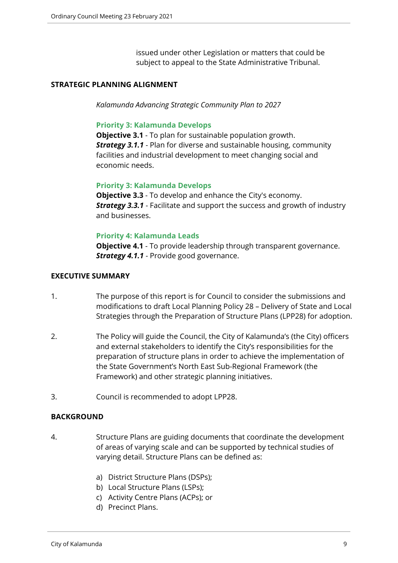issued under other Legislation or matters that could be subject to appeal to the State Administrative Tribunal.

#### **STRATEGIC PLANNING ALIGNMENT**

*Kalamunda Advancing Strategic Community Plan to 2027*

#### **Priority 3: Kalamunda Develops**

**Objective 3.1** - To plan for sustainable population growth. *Strategy 3.1.1* - Plan for diverse and sustainable housing, community facilities and industrial development to meet changing social and economic needs.

#### **Priority 3: Kalamunda Develops**

**Objective 3.3** - To develop and enhance the City's economy. *Strategy 3.3.1* - Facilitate and support the success and growth of industry and businesses.

#### **Priority 4: Kalamunda Leads**

**Objective 4.1** - To provide leadership through transparent governance. **Strategy 4.1.1** - Provide good governance.

#### **EXECUTIVE SUMMARY**

- 1. The purpose of this report is for Council to consider the submissions and modifications to draft Local Planning Policy 28 – Delivery of State and Local Strategies through the Preparation of Structure Plans (LPP28) for adoption.
- 2. The Policy will guide the Council, the City of Kalamunda's (the City) officers and external stakeholders to identify the City's responsibilities for the preparation of structure plans in order to achieve the implementation of the State Government's North East Sub-Regional Framework (the Framework) and other strategic planning initiatives.
- 3. Council is recommended to adopt LPP28.

#### **BACKGROUND**

- 4. Structure Plans are guiding documents that coordinate the development of areas of varying scale and can be supported by technical studies of varying detail. Structure Plans can be defined as:
	- a) District Structure Plans (DSPs);
	- b) Local Structure Plans (LSPs);
	- c) Activity Centre Plans (ACPs); or
	- d) Precinct Plans.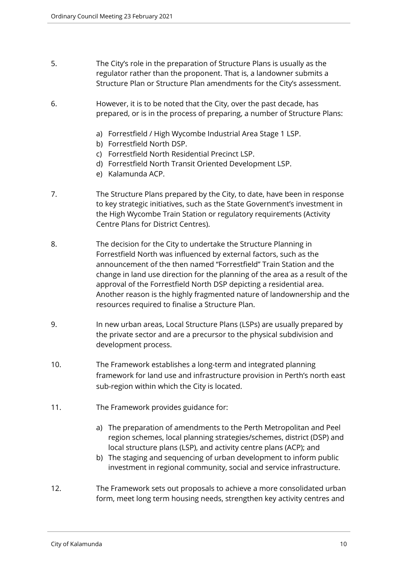- 5. The City's role in the preparation of Structure Plans is usually as the regulator rather than the proponent. That is, a landowner submits a Structure Plan or Structure Plan amendments for the City's assessment.
- 6. However, it is to be noted that the City, over the past decade, has prepared, or is in the process of preparing, a number of Structure Plans:
	- a) Forrestfield / High Wycombe Industrial Area Stage 1 LSP.
	- b) Forrestfield North DSP.
	- c) Forrestfield North Residential Precinct LSP.
	- d) Forrestfield North Transit Oriented Development LSP.
	- e) Kalamunda ACP.
- 7. The Structure Plans prepared by the City, to date, have been in response to key strategic initiatives, such as the State Government's investment in the High Wycombe Train Station or regulatory requirements (Activity Centre Plans for District Centres).
- 8. The decision for the City to undertake the Structure Planning in Forrestfield North was influenced by external factors, such as the announcement of the then named "Forrestfield" Train Station and the change in land use direction for the planning of the area as a result of the approval of the Forrestfield North DSP depicting a residential area. Another reason is the highly fragmented nature of landownership and the resources required to finalise a Structure Plan.
- 9. In new urban areas, Local Structure Plans (LSPs) are usually prepared by the private sector and are a precursor to the physical subdivision and development process.
- 10. The Framework establishes a long-term and integrated planning framework for land use and infrastructure provision in Perth's north east sub-region within which the City is located.
- 11. The Framework provides guidance for:
	- a) The preparation of amendments to the Perth Metropolitan and Peel region schemes, local planning strategies/schemes, district (DSP) and local structure plans (LSP), and activity centre plans (ACP); and
	- b) The staging and sequencing of urban development to inform public investment in regional community, social and service infrastructure.
- 12. The Framework sets out proposals to achieve a more consolidated urban form, meet long term housing needs, strengthen key activity centres and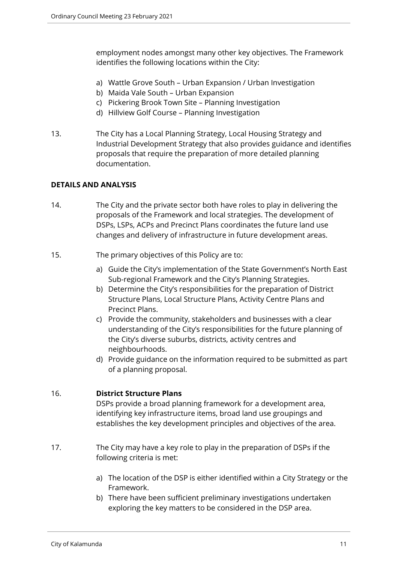employment nodes amongst many other key objectives. The Framework identifies the following locations within the City:

- a) Wattle Grove South Urban Expansion / Urban Investigation
- b) Maida Vale South Urban Expansion
- c) Pickering Brook Town Site Planning Investigation
- d) Hillview Golf Course Planning Investigation
- 13. The City has a Local Planning Strategy, Local Housing Strategy and Industrial Development Strategy that also provides guidance and identifies proposals that require the preparation of more detailed planning documentation.

# **DETAILS AND ANALYSIS**

- 14. The City and the private sector both have roles to play in delivering the proposals of the Framework and local strategies. The development of DSPs, LSPs, ACPs and Precinct Plans coordinates the future land use changes and delivery of infrastructure in future development areas.
- 15. The primary objectives of this Policy are to:
	- a) Guide the City's implementation of the State Government's North East Sub-regional Framework and the City's Planning Strategies.
	- b) Determine the City's responsibilities for the preparation of District Structure Plans, Local Structure Plans, Activity Centre Plans and Precinct Plans.
	- c) Provide the community, stakeholders and businesses with a clear understanding of the City's responsibilities for the future planning of the City's diverse suburbs, districts, activity centres and neighbourhoods.
	- d) Provide guidance on the information required to be submitted as part of a planning proposal.

# 16. **District Structure Plans**

DSPs provide a broad planning framework for a development area, identifying key infrastructure items, broad land use groupings and establishes the key development principles and objectives of the area.

- 17. The City may have a key role to play in the preparation of DSPs if the following criteria is met:
	- a) The location of the DSP is either identified within a City Strategy or the Framework.
	- b) There have been sufficient preliminary investigations undertaken exploring the key matters to be considered in the DSP area.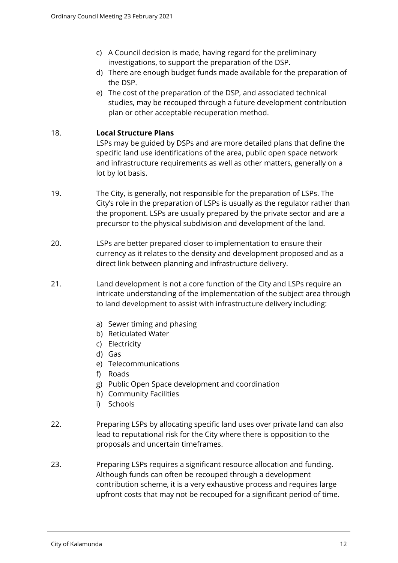- c) A Council decision is made, having regard for the preliminary investigations, to support the preparation of the DSP.
- d) There are enough budget funds made available for the preparation of the DSP.
- e) The cost of the preparation of the DSP, and associated technical studies, may be recouped through a future development contribution plan or other acceptable recuperation method.

# 18. **Local Structure Plans**

LSPs may be guided by DSPs and are more detailed plans that define the specific land use identifications of the area, public open space network and infrastructure requirements as well as other matters, generally on a lot by lot basis.

- 19. The City, is generally, not responsible for the preparation of LSPs. The City's role in the preparation of LSPs is usually as the regulator rather than the proponent. LSPs are usually prepared by the private sector and are a precursor to the physical subdivision and development of the land.
- 20. LSPs are better prepared closer to implementation to ensure their currency as it relates to the density and development proposed and as a direct link between planning and infrastructure delivery.
- 21. Land development is not a core function of the City and LSPs require an intricate understanding of the implementation of the subject area through to land development to assist with infrastructure delivery including:
	- a) Sewer timing and phasing
	- b) Reticulated Water
	- c) Electricity
	- d) Gas
	- e) Telecommunications
	- f) Roads
	- g) Public Open Space development and coordination
	- h) Community Facilities
	- i) Schools
- 22. Preparing LSPs by allocating specific land uses over private land can also lead to reputational risk for the City where there is opposition to the proposals and uncertain timeframes.
- 23. Preparing LSPs requires a significant resource allocation and funding. Although funds can often be recouped through a development contribution scheme, it is a very exhaustive process and requires large upfront costs that may not be recouped for a significant period of time.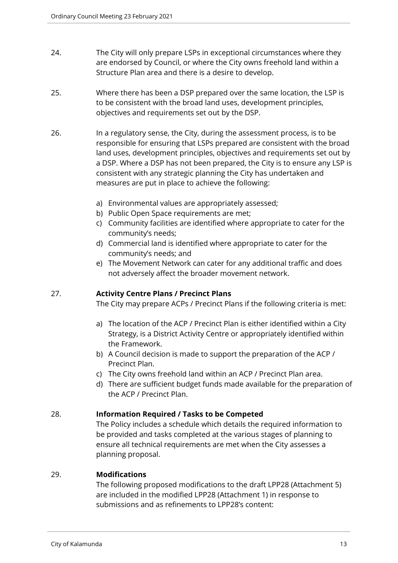- 24. The City will only prepare LSPs in exceptional circumstances where they are endorsed by Council, or where the City owns freehold land within a Structure Plan area and there is a desire to develop.
- 25. Where there has been a DSP prepared over the same location, the LSP is to be consistent with the broad land uses, development principles, objectives and requirements set out by the DSP.
- 26. In a regulatory sense, the City, during the assessment process, is to be responsible for ensuring that LSPs prepared are consistent with the broad land uses, development principles, objectives and requirements set out by a DSP. Where a DSP has not been prepared, the City is to ensure any LSP is consistent with any strategic planning the City has undertaken and measures are put in place to achieve the following:
	- a) Environmental values are appropriately assessed;
	- b) Public Open Space requirements are met;
	- c) Community facilities are identified where appropriate to cater for the community's needs;
	- d) Commercial land is identified where appropriate to cater for the community's needs; and
	- e) The Movement Network can cater for any additional traffic and does not adversely affect the broader movement network.

# 27. **Activity Centre Plans / Precinct Plans**

The City may prepare ACPs / Precinct Plans if the following criteria is met:

- a) The location of the ACP / Precinct Plan is either identified within a City Strategy, is a District Activity Centre or appropriately identified within the Framework.
- b) A Council decision is made to support the preparation of the ACP / Precinct Plan.
- c) The City owns freehold land within an ACP / Precinct Plan area.
- d) There are sufficient budget funds made available for the preparation of the ACP / Precinct Plan.

# 28. **Information Required / Tasks to be Competed**

The Policy includes a schedule which details the required information to be provided and tasks completed at the various stages of planning to ensure all technical requirements are met when the City assesses a planning proposal.

# 29. **Modifications**

The following proposed modifications to the draft LPP28 (Attachment 5) are included in the modified LPP28 (Attachment 1) in response to submissions and as refinements to LPP28's content: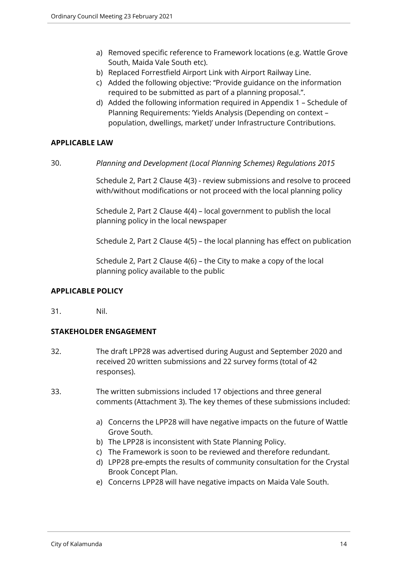- a) Removed specific reference to Framework locations (e.g. Wattle Grove South, Maida Vale South etc).
- b) Replaced Forrestfield Airport Link with Airport Railway Line.
- c) Added the following objective: ''Provide guidance on the information required to be submitted as part of a planning proposal.".
- d) Added the following information required in Appendix 1 Schedule of Planning Requirements: 'Yields Analysis (Depending on context – population, dwellings, market)' under Infrastructure Contributions.

# **APPLICABLE LAW**

30. *Planning and Development (Local Planning Schemes) Regulations 2015*

Schedule 2, Part 2 Clause 4(3) - review submissions and resolve to proceed with/without modifications or not proceed with the local planning policy

Schedule 2, Part 2 Clause 4(4) – local government to publish the local planning policy in the local newspaper

Schedule 2, Part 2 Clause 4(5) – the local planning has effect on publication

Schedule 2, Part 2 Clause 4(6) – the City to make a copy of the local planning policy available to the public

# **APPLICABLE POLICY**

31. Nil.

# **STAKEHOLDER ENGAGEMENT**

- 32. The draft LPP28 was advertised during August and September 2020 and received 20 written submissions and 22 survey forms (total of 42 responses).
- 33. The written submissions included 17 objections and three general comments (Attachment 3). The key themes of these submissions included:
	- a) Concerns the LPP28 will have negative impacts on the future of Wattle Grove South.
	- b) The LPP28 is inconsistent with State Planning Policy.
	- c) The Framework is soon to be reviewed and therefore redundant.
	- d) LPP28 pre-empts the results of community consultation for the Crystal Brook Concept Plan.
	- e) Concerns LPP28 will have negative impacts on Maida Vale South.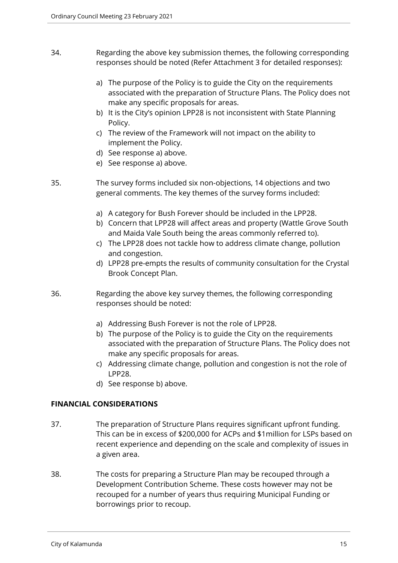- 34. Regarding the above key submission themes, the following corresponding responses should be noted (Refer Attachment 3 for detailed responses):
	- a) The purpose of the Policy is to guide the City on the requirements associated with the preparation of Structure Plans. The Policy does not make any specific proposals for areas.
	- b) It is the City's opinion LPP28 is not inconsistent with State Planning Policy.
	- c) The review of the Framework will not impact on the ability to implement the Policy.
	- d) See response a) above.
	- e) See response a) above.
- 35. The survey forms included six non-objections, 14 objections and two general comments. The key themes of the survey forms included:
	- a) A category for Bush Forever should be included in the LPP28.
	- b) Concern that LPP28 will affect areas and property (Wattle Grove South and Maida Vale South being the areas commonly referred to).
	- c) The LPP28 does not tackle how to address climate change, pollution and congestion.
	- d) LPP28 pre-empts the results of community consultation for the Crystal Brook Concept Plan.
- 36. Regarding the above key survey themes, the following corresponding responses should be noted:
	- a) Addressing Bush Forever is not the role of LPP28.
	- b) The purpose of the Policy is to guide the City on the requirements associated with the preparation of Structure Plans. The Policy does not make any specific proposals for areas.
	- c) Addressing climate change, pollution and congestion is not the role of LPP28.
	- d) See response b) above.

# **FINANCIAL CONSIDERATIONS**

- 37. The preparation of Structure Plans requires significant upfront funding. This can be in excess of \$200,000 for ACPs and \$1million for LSPs based on recent experience and depending on the scale and complexity of issues in a given area.
- 38. The costs for preparing a Structure Plan may be recouped through a Development Contribution Scheme. These costs however may not be recouped for a number of years thus requiring Municipal Funding or borrowings prior to recoup.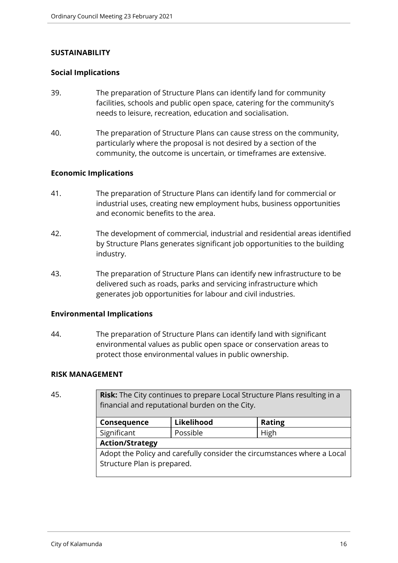#### **SUSTAINABILITY**

#### **Social Implications**

- 39. The preparation of Structure Plans can identify land for community facilities, schools and public open space, catering for the community's needs to leisure, recreation, education and socialisation.
- 40. The preparation of Structure Plans can cause stress on the community, particularly where the proposal is not desired by a section of the community, the outcome is uncertain, or timeframes are extensive.

#### **Economic Implications**

- 41. The preparation of Structure Plans can identify land for commercial or industrial uses, creating new employment hubs, business opportunities and economic benefits to the area.
- 42. The development of commercial, industrial and residential areas identified by Structure Plans generates significant job opportunities to the building industry.
- 43. The preparation of Structure Plans can identify new infrastructure to be delivered such as roads, parks and servicing infrastructure which generates job opportunities for labour and civil industries.

#### **Environmental Implications**

44. The preparation of Structure Plans can identify land with significant environmental values as public open space or conservation areas to protect those environmental values in public ownership.

#### **RISK MANAGEMENT**

45. **Risk:** The City continues to prepare Local Structure Plans resulting in a financial and reputational burden on the City.

| Consequence                                                             | Likelihood | <b>Rating</b> |  |  |
|-------------------------------------------------------------------------|------------|---------------|--|--|
| Significant                                                             | Possible   | High          |  |  |
| <b>Action/Strategy</b>                                                  |            |               |  |  |
| Adopt the Policy and carefully consider the circumstances where a Local |            |               |  |  |
| Structure Plan is prepared.                                             |            |               |  |  |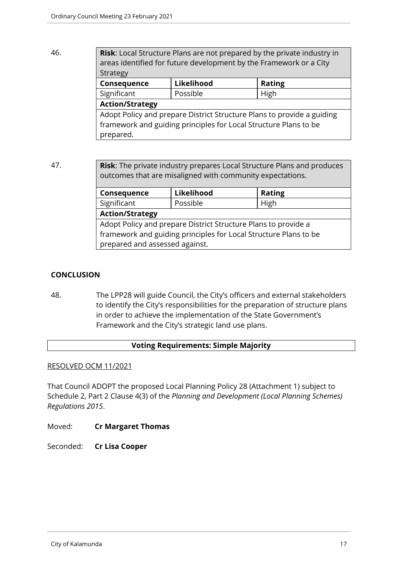# 46. **Risk**: Local Structure Plans are not prepared by the private industry in areas identified for future development by the Framework or a City Strategy **Consequence** Likelihood | Rating Significant | Possible | High **Action/Strategy** Adopt Policy and prepare District Structure Plans to provide a guiding framework and guiding principles for Local Structure Plans to be prepared.

47. **Risk**: The private industry prepares Local Structure Plans and produces outcomes that are misaligned with community expectations.

| Consequence                                                      | Likelihood | <b>Rating</b> |  |  |
|------------------------------------------------------------------|------------|---------------|--|--|
| Significant                                                      | Possible   | High          |  |  |
| <b>Action/Strategy</b>                                           |            |               |  |  |
| Adopt Policy and prepare District Structure Plans to provide a   |            |               |  |  |
| framework and guiding principles for Local Structure Plans to be |            |               |  |  |
| prepared and assessed against.                                   |            |               |  |  |

# **CONCLUSION**

48. The LPP28 will guide Council, the City's officers and external stakeholders to identify the City's responsibilities for the preparation of structure plans in order to achieve the implementation of the State Government's Framework and the City's strategic land use plans.

# **Voting Requirements: Simple Majority**

# RESOLVED OCM 11/2021

That Council ADOPT the proposed Local Planning Policy 28 (Attachment 1) subject to Schedule 2, Part 2 Clause 4(3) of the *Planning and Development (Local Planning Schemes) Regulations 2015*.

Moved: **Cr Margaret Thomas**

Seconded: **Cr Lisa Cooper**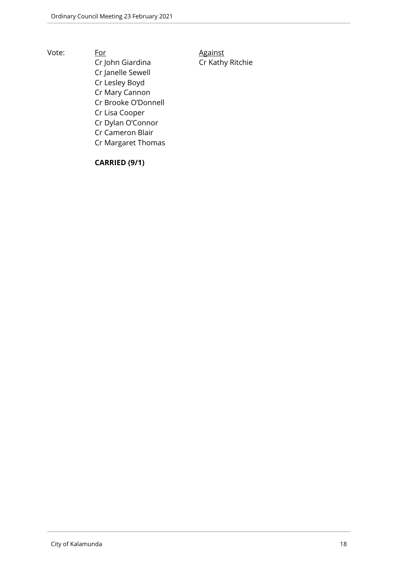Vote: For For Against Cr John Giardina Cr Kathy Ritchie Cr Janelle Sewell Cr Lesley Boyd Cr Mary Cannon Cr Brooke O'Donnell Cr Lisa Cooper Cr Dylan O'Connor Cr Cameron Blair Cr Margaret Thomas

**CARRIED (9/1)**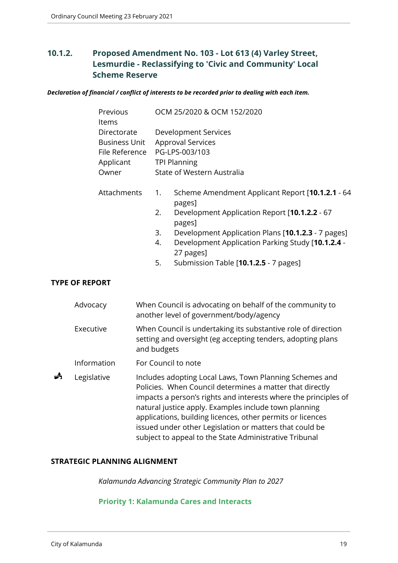# <span id="page-18-0"></span>**10.1.2. Proposed Amendment No. 103 - Lot 613 (4) Varley Street, Lesmurdie - Reclassifying to 'Civic and Community' Local Scheme Reserve**

*Declaration of financial / conflict of interests to be recorded prior to dealing with each item.*

|   | Previous<br>Items     |             | OCM 25/2020 & OCM 152/2020                                                                                                   |
|---|-----------------------|-------------|------------------------------------------------------------------------------------------------------------------------------|
|   | Directorate           |             | Development Services                                                                                                         |
|   | <b>Business Unit</b>  |             | <b>Approval Services</b>                                                                                                     |
|   | File Reference        |             | PG-LPS-003/103                                                                                                               |
|   | Applicant             |             | <b>TPI Planning</b>                                                                                                          |
|   | Owner                 |             | State of Western Australia                                                                                                   |
|   | Attachments           | 1.          | Scheme Amendment Applicant Report [10.1.2.1 - 64<br>pages]                                                                   |
|   |                       | 2.          | Development Application Report [10.1.2.2 - 67<br>pages]                                                                      |
|   |                       | 3.          | Development Application Plans [10.1.2.3 - 7 pages]                                                                           |
|   |                       | 4.          | Development Application Parking Study [10.1.2.4 -<br>27 pages]                                                               |
|   |                       | 5.          | Submission Table [10.1.2.5 - 7 pages]                                                                                        |
|   | <b>TYPE OF REPORT</b> |             |                                                                                                                              |
|   | Advocacy              |             | When Council is advocating on behalf of the community to<br>another level of government/body/agency                          |
|   | Executive             | and budgets | When Council is undertaking its substantive role of direction<br>setting and oversight (eg accepting tenders, adopting plans |
|   | Information           |             | For Council to note                                                                                                          |
| Å | Legislative           |             | Includes adopting Local Laws, Town Planning Schemes and<br>Policies. When Council determines a matter that directly          |

impacts a person's rights and interests where the principles of natural justice apply. Examples include town planning applications, building licences, other permits or licences issued under other Legislation or matters that could be subject to appeal to the State Administrative Tribunal

#### **STRATEGIC PLANNING ALIGNMENT**

*Kalamunda Advancing Strategic Community Plan to 2027*

#### **Priority 1: Kalamunda Cares and Interacts**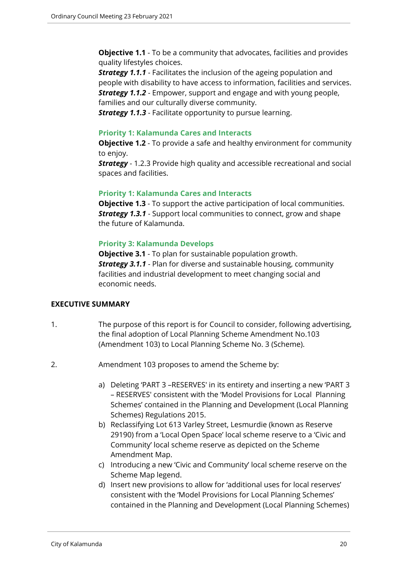**Objective 1.1** - To be a community that advocates, facilities and provides quality lifestyles choices.

*Strategy 1.1.1* - Facilitates the inclusion of the ageing population and people with disability to have access to information, facilities and services. *Strategy 1.1.2* - Empower, support and engage and with young people, families and our culturally diverse community.

*Strategy 1.1.3* - Facilitate opportunity to pursue learning.

#### **Priority 1: Kalamunda Cares and Interacts**

**Objective 1.2** - To provide a safe and healthy environment for community to enjoy.

**Strategy** - 1.2.3 Provide high quality and accessible recreational and social spaces and facilities.

#### **Priority 1: Kalamunda Cares and Interacts**

**Objective 1.3** - To support the active participation of local communities. *Strategy 1.3.1* - Support local communities to connect, grow and shape the future of Kalamunda.

# **Priority 3: Kalamunda Develops**

**Objective 3.1** - To plan for sustainable population growth. *Strategy 3.1.1* - Plan for diverse and sustainable housing, community facilities and industrial development to meet changing social and economic needs.

# **EXECUTIVE SUMMARY**

- 1. The purpose of this report is for Council to consider, following advertising, the final adoption of Local Planning Scheme Amendment No.103 (Amendment 103) to Local Planning Scheme No. 3 (Scheme).
- 2. Amendment 103 proposes to amend the Scheme by:
	- a) Deleting 'PART 3 –RESERVES' in its entirety and inserting a new 'PART 3 – RESERVES' consistent with the 'Model Provisions for Local Planning Schemes' contained in the Planning and Development (Local Planning Schemes) Regulations 2015.
	- b) Reclassifying Lot 613 Varley Street, Lesmurdie (known as Reserve 29190) from a 'Local Open Space' local scheme reserve to a 'Civic and Community' local scheme reserve as depicted on the Scheme Amendment Map.
	- c) Introducing a new 'Civic and Community' local scheme reserve on the Scheme Map legend.
	- d) Insert new provisions to allow for 'additional uses for local reserves' consistent with the 'Model Provisions for Local Planning Schemes' contained in the Planning and Development (Local Planning Schemes)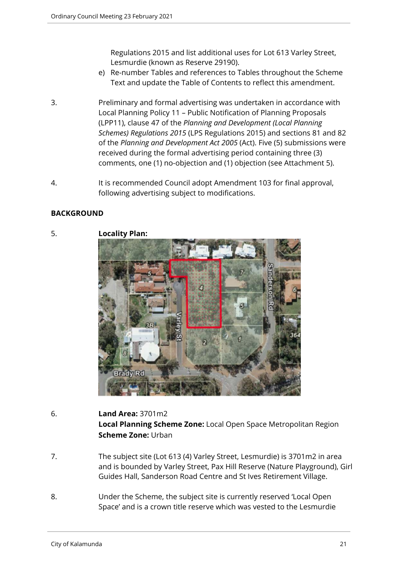Regulations 2015 and list additional uses for Lot 613 Varley Street, Lesmurdie (known as Reserve 29190).

- e) Re-number Tables and references to Tables throughout the Scheme Text and update the Table of Contents to reflect this amendment.
- 3. Preliminary and formal advertising was undertaken in accordance with Local Planning Policy 11 – Public Notification of Planning Proposals (LPP11), clause 47 of the *Planning and Development (Local Planning Schemes) Regulations 2015* (LPS Regulations 2015) and sections 81 and 82 of the *Planning and Development Act 2005* (Act). Five (5) submissions were received during the formal advertising period containing three (3) comments, one (1) no-objection and (1) objection (see Attachment 5).
- 4. It is recommended Council adopt Amendment 103 for final approval, following advertising subject to modifications.

# **BACKGROUND**



# 6. **Land Area:** 3701m2 **Local Planning Scheme Zone:** Local Open Space Metropolitan Region **Scheme Zone:** Urban

- 7. The subject site (Lot 613 (4) Varley Street, Lesmurdie) is 3701m2 in area and is bounded by Varley Street, Pax Hill Reserve (Nature Playground), Girl Guides Hall, Sanderson Road Centre and St Ives Retirement Village.
- 8. Under the Scheme, the subject site is currently reserved 'Local Open Space' and is a crown title reserve which was vested to the Lesmurdie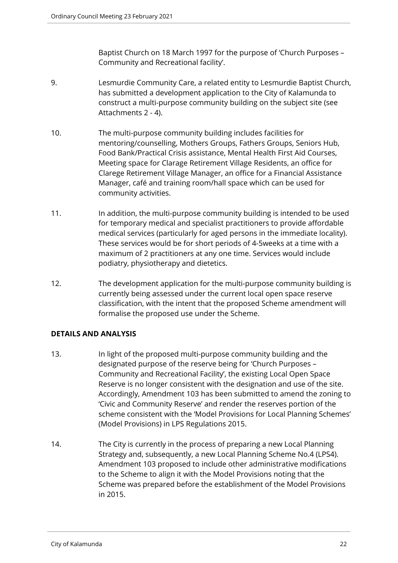Baptist Church on 18 March 1997 for the purpose of 'Church Purposes – Community and Recreational facility'.

- 9. Lesmurdie Community Care, a related entity to Lesmurdie Baptist Church, has submitted a development application to the City of Kalamunda to construct a multi-purpose community building on the subject site (see Attachments 2 - 4).
- 10. The multi-purpose community building includes facilities for mentoring/counselling, Mothers Groups, Fathers Groups, Seniors Hub, Food Bank/Practical Crisis assistance, Mental Health First Aid Courses, Meeting space for Clarage Retirement Village Residents, an office for Clarege Retirement Village Manager, an office for a Financial Assistance Manager, café and training room/hall space which can be used for community activities.
- 11. In addition, the multi-purpose community building is intended to be used for temporary medical and specialist practitioners to provide affordable medical services (particularly for aged persons in the immediate locality). These services would be for short periods of 4-5weeks at a time with a maximum of 2 practitioners at any one time. Services would include podiatry, physiotherapy and dietetics.
- 12. The development application for the multi-purpose community building is currently being assessed under the current local open space reserve classification, with the intent that the proposed Scheme amendment will formalise the proposed use under the Scheme.

# **DETAILS AND ANALYSIS**

- 13. In light of the proposed multi-purpose community building and the designated purpose of the reserve being for 'Church Purposes – Community and Recreational Facility', the existing Local Open Space Reserve is no longer consistent with the designation and use of the site. Accordingly, Amendment 103 has been submitted to amend the zoning to 'Civic and Community Reserve' and render the reserves portion of the scheme consistent with the 'Model Provisions for Local Planning Schemes' (Model Provisions) in LPS Regulations 2015.
- 14. The City is currently in the process of preparing a new Local Planning Strategy and, subsequently, a new Local Planning Scheme No.4 (LPS4). Amendment 103 proposed to include other administrative modifications to the Scheme to align it with the Model Provisions noting that the Scheme was prepared before the establishment of the Model Provisions in 2015.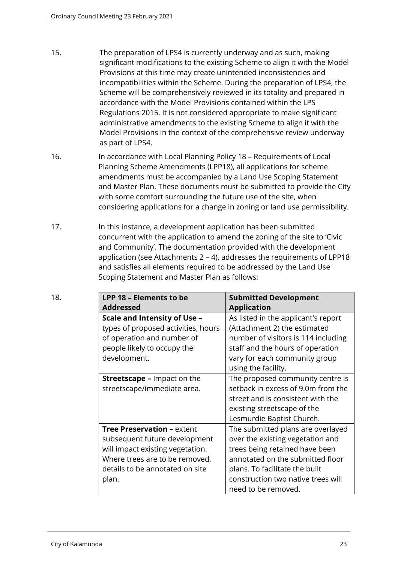- 15. The preparation of LPS4 is currently underway and as such, making significant modifications to the existing Scheme to align it with the Model Provisions at this time may create unintended inconsistencies and incompatibilities within the Scheme. During the preparation of LPS4, the Scheme will be comprehensively reviewed in its totality and prepared in accordance with the Model Provisions contained within the LPS Regulations 2015. It is not considered appropriate to make significant administrative amendments to the existing Scheme to align it with the Model Provisions in the context of the comprehensive review underway as part of LPS4.
- 16. In accordance with Local Planning Policy 18 Requirements of Local Planning Scheme Amendments (LPP18), all applications for scheme amendments must be accompanied by a Land Use Scoping Statement and Master Plan. These documents must be submitted to provide the City with some comfort surrounding the future use of the site, when considering applications for a change in zoning or land use permissibility.
- 17. In this instance, a development application has been submitted concurrent with the application to amend the zoning of the site to 'Civic and Community'. The documentation provided with the development application (see Attachments 2 – 4), addresses the requirements of LPP18 and satisfies all elements required to be addressed by the Land Use Scoping Statement and Master Plan as follows:

| 18. | LPP 18 - Elements to be             | <b>Submitted Development</b>        |
|-----|-------------------------------------|-------------------------------------|
|     | <b>Addressed</b>                    | <b>Application</b>                  |
|     | Scale and Intensity of Use -        | As listed in the applicant's report |
|     | types of proposed activities, hours | (Attachment 2) the estimated        |
|     | of operation and number of          | number of visitors is 114 including |
|     | people likely to occupy the         | staff and the hours of operation    |
|     | development.                        | vary for each community group       |
|     |                                     | using the facility.                 |
|     | <b>Streetscape - Impact on the</b>  | The proposed community centre is    |
|     | streetscape/immediate area.         | setback in excess of 9.0m from the  |
|     |                                     | street and is consistent with the   |
|     |                                     | existing streetscape of the         |
|     |                                     | Lesmurdie Baptist Church.           |
|     | <b>Tree Preservation - extent</b>   | The submitted plans are overlayed   |
|     | subsequent future development       | over the existing vegetation and    |
|     | will impact existing vegetation.    | trees being retained have been      |
|     | Where trees are to be removed,      | annotated on the submitted floor    |
|     | details to be annotated on site     | plans. To facilitate the built      |
|     | plan.                               | construction two native trees will  |
|     |                                     | need to be removed.                 |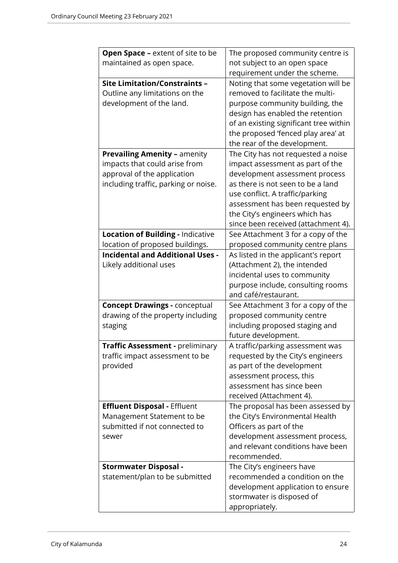| <b>Open Space - extent of site to be</b> | The proposed community centre is       |
|------------------------------------------|----------------------------------------|
| maintained as open space.                | not subject to an open space           |
|                                          | requirement under the scheme.          |
| <b>Site Limitation/Constraints -</b>     | Noting that some vegetation will be    |
| Outline any limitations on the           | removed to facilitate the multi-       |
| development of the land.                 | purpose community building, the        |
|                                          | design has enabled the retention       |
|                                          | of an existing significant tree within |
|                                          | the proposed 'fenced play area' at     |
|                                          | the rear of the development.           |
| <b>Prevailing Amenity - amenity</b>      | The City has not requested a noise     |
| impacts that could arise from            | impact assessment as part of the       |
| approval of the application              | development assessment process         |
| including traffic, parking or noise.     | as there is not seen to be a land      |
|                                          | use conflict. A traffic/parking        |
|                                          | assessment has been requested by       |
|                                          | the City's engineers which has         |
|                                          | since been received (attachment 4).    |
| <b>Location of Building - Indicative</b> | See Attachment 3 for a copy of the     |
| location of proposed buildings.          | proposed community centre plans        |
| <b>Incidental and Additional Uses -</b>  |                                        |
|                                          | As listed in the applicant's report    |
| Likely additional uses                   | (Attachment 2), the intended           |
|                                          | incidental uses to community           |
|                                          | purpose include, consulting rooms      |
|                                          | and café/restaurant.                   |
| <b>Concept Drawings - conceptual</b>     | See Attachment 3 for a copy of the     |
| drawing of the property including        | proposed community centre              |
| staging                                  | including proposed staging and         |
|                                          | future development.                    |
| Traffic Assessment - preliminary         | A traffic/parking assessment was       |
| traffic impact assessment to be          | requested by the City's engineers      |
| provided                                 | as part of the development             |
|                                          | assessment process, this               |
|                                          | assessment has since been              |
|                                          | received (Attachment 4).               |
| <b>Effluent Disposal - Effluent</b>      | The proposal has been assessed by      |
| Management Statement to be               | the City's Environmental Health        |
| submitted if not connected to            | Officers as part of the                |
| sewer                                    | development assessment process,        |
|                                          | and relevant conditions have been      |
|                                          | recommended.                           |
| <b>Stormwater Disposal -</b>             | The City's engineers have              |
| statement/plan to be submitted           | recommended a condition on the         |
|                                          | development application to ensure      |
|                                          | stormwater is disposed of              |
|                                          | appropriately.                         |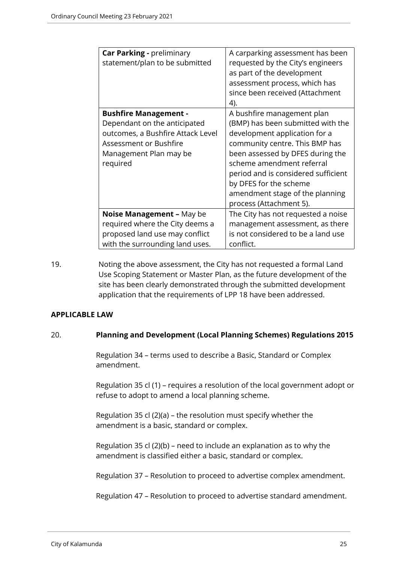| <b>Car Parking - preliminary</b><br>statement/plan to be submitted                                                                                                | A carparking assessment has been<br>requested by the City's engineers<br>as part of the development<br>assessment process, which has<br>since been received (Attachment<br>4).                                                                                                                                                     |
|-------------------------------------------------------------------------------------------------------------------------------------------------------------------|------------------------------------------------------------------------------------------------------------------------------------------------------------------------------------------------------------------------------------------------------------------------------------------------------------------------------------|
| <b>Bushfire Management -</b><br>Dependant on the anticipated<br>outcomes, a Bushfire Attack Level<br>Assessment or Bushfire<br>Management Plan may be<br>required | A bushfire management plan<br>(BMP) has been submitted with the<br>development application for a<br>community centre. This BMP has<br>been assessed by DFES during the<br>scheme amendment referral<br>period and is considered sufficient<br>by DFES for the scheme<br>amendment stage of the planning<br>process (Attachment 5). |
| Noise Management - May be<br>required where the City deems a<br>proposed land use may conflict<br>with the surrounding land uses.                                 | The City has not requested a noise<br>management assessment, as there<br>is not considered to be a land use<br>conflict.                                                                                                                                                                                                           |

19. Noting the above assessment, the City has not requested a formal Land Use Scoping Statement or Master Plan, as the future development of the site has been clearly demonstrated through the submitted development application that the requirements of LPP 18 have been addressed.

# **APPLICABLE LAW**

#### 20. **Planning and Development (Local Planning Schemes) Regulations 2015**

Regulation 34 – terms used to describe a Basic, Standard or Complex amendment.

Regulation 35 cl (1) – requires a resolution of the local government adopt or refuse to adopt to amend a local planning scheme.

Regulation 35 cl (2)(a) – the resolution must specify whether the amendment is a basic, standard or complex.

Regulation 35 cl (2)(b) – need to include an explanation as to why the amendment is classified either a basic, standard or complex.

Regulation 37 – Resolution to proceed to advertise complex amendment.

Regulation 47 – Resolution to proceed to advertise standard amendment.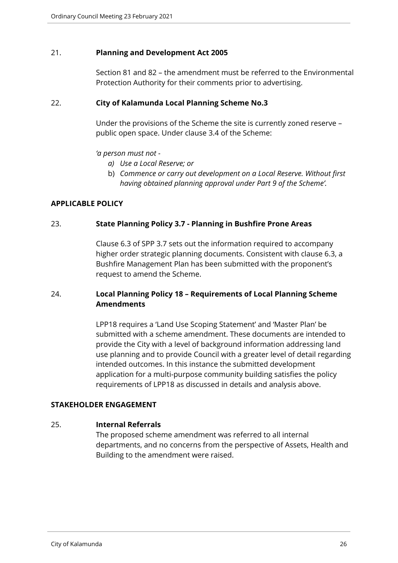#### 21. **Planning and Development Act 2005**

Section 81 and 82 – the amendment must be referred to the Environmental Protection Authority for their comments prior to advertising.

#### 22. **City of Kalamunda Local Planning Scheme No.3**

Under the provisions of the Scheme the site is currently zoned reserve – public open space. Under clause 3.4 of the Scheme:

#### *'a person must not -*

- *a) Use a Local Reserve; or*
- b) *Commence or carry out development on a Local Reserve. Without first having obtained planning approval under Part 9 of the Scheme'.*

#### **APPLICABLE POLICY**

#### 23. **State Planning Policy 3.7 - Planning in Bushfire Prone Areas**

Clause 6.3 of SPP 3.7 sets out the information required to accompany higher order strategic planning documents. Consistent with clause 6.3, a Bushfire Management Plan has been submitted with the proponent's request to amend the Scheme.

# 24. **Local Planning Policy 18 – Requirements of Local Planning Scheme Amendments**

LPP18 requires a 'Land Use Scoping Statement' and 'Master Plan' be submitted with a scheme amendment. These documents are intended to provide the City with a level of background information addressing land use planning and to provide Council with a greater level of detail regarding intended outcomes. In this instance the submitted development application for a multi-purpose community building satisfies the policy requirements of LPP18 as discussed in details and analysis above.

#### **STAKEHOLDER ENGAGEMENT**

#### 25. **Internal Referrals**

The proposed scheme amendment was referred to all internal departments, and no concerns from the perspective of Assets, Health and Building to the amendment were raised.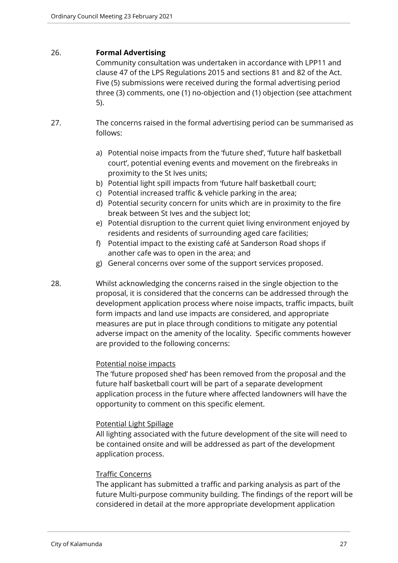#### 26. **Formal Advertising**

Community consultation was undertaken in accordance with LPP11 and clause 47 of the LPS Regulations 2015 and sections 81 and 82 of the Act. Five (5) submissions were received during the formal advertising period three (3) comments, one (1) no-objection and (1) objection (see attachment 5).

- 27. The concerns raised in the formal advertising period can be summarised as follows:
	- a) Potential noise impacts from the 'future shed', 'future half basketball court', potential evening events and movement on the firebreaks in proximity to the St Ives units;
	- b) Potential light spill impacts from 'future half basketball court;
	- c) Potential increased traffic & vehicle parking in the area;
	- d) Potential security concern for units which are in proximity to the fire break between St Ives and the subject lot;
	- e) Potential disruption to the current quiet living environment enjoyed by residents and residents of surrounding aged care facilities;
	- f) Potential impact to the existing café at Sanderson Road shops if another cafe was to open in the area; and
	- g) General concerns over some of the support services proposed.
- 28. Whilst acknowledging the concerns raised in the single objection to the proposal, it is considered that the concerns can be addressed through the development application process where noise impacts, traffic impacts, built form impacts and land use impacts are considered, and appropriate measures are put in place through conditions to mitigate any potential adverse impact on the amenity of the locality. Specific comments however are provided to the following concerns:

# Potential noise impacts

The 'future proposed shed' has been removed from the proposal and the future half basketball court will be part of a separate development application process in the future where affected landowners will have the opportunity to comment on this specific element.

#### Potential Light Spillage

All lighting associated with the future development of the site will need to be contained onsite and will be addressed as part of the development application process.

#### Traffic Concerns

The applicant has submitted a traffic and parking analysis as part of the future Multi-purpose community building. The findings of the report will be considered in detail at the more appropriate development application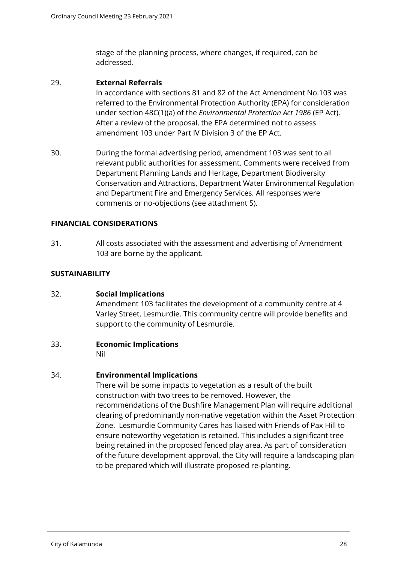stage of the planning process, where changes, if required, can be addressed.

#### 29. **External Referrals**

In accordance with sections 81 and 82 of the Act Amendment No.103 was referred to the Environmental Protection Authority (EPA) for consideration under section 48C(1)(a) of the *Environmental Protection Act 1986* (EP Act). After a review of the proposal, the EPA determined not to assess amendment 103 under Part IV Division 3 of the EP Act.

30. During the formal advertising period, amendment 103 was sent to all relevant public authorities for assessment. Comments were received from Department Planning Lands and Heritage, Department Biodiversity Conservation and Attractions, Department Water Environmental Regulation and Department Fire and Emergency Services. All responses were comments or no-objections (see attachment 5).

# **FINANCIAL CONSIDERATIONS**

31. All costs associated with the assessment and advertising of Amendment 103 are borne by the applicant.

#### **SUSTAINABILITY**

#### 32. **Social Implications**

Amendment 103 facilitates the development of a community centre at 4 Varley Street, Lesmurdie. This community centre will provide benefits and support to the community of Lesmurdie.

#### 33. **Economic Implications**

Nil

# 34. **Environmental Implications**

There will be some impacts to vegetation as a result of the built construction with two trees to be removed. However, the recommendations of the Bushfire Management Plan will require additional clearing of predominantly non-native vegetation within the Asset Protection Zone. Lesmurdie Community Cares has liaised with Friends of Pax Hill to ensure noteworthy vegetation is retained. This includes a significant tree being retained in the proposed fenced play area. As part of consideration of the future development approval, the City will require a landscaping plan to be prepared which will illustrate proposed re-planting.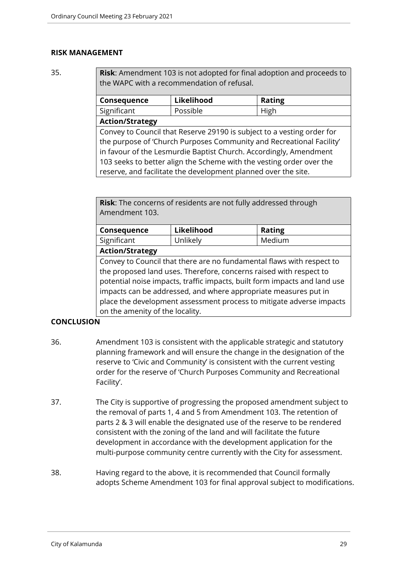#### **RISK MANAGEMENT**

35. **Risk**: Amendment 103 is not adopted for final adoption and proceeds to the WAPC with a recommendation of refusal.

| <b>Consequence</b>     | Likelihood | <b>Rating</b> |
|------------------------|------------|---------------|
| Significant            | Possible   | High          |
| <b>Action/Strategy</b> |            |               |

Convey to Council that Reserve 29190 is subject to a vesting order for the purpose of 'Church Purposes Community and Recreational Facility' in favour of the Lesmurdie Baptist Church. Accordingly, Amendment 103 seeks to better align the Scheme with the vesting order over the reserve, and facilitate the development planned over the site.

**Risk**: The concerns of residents are not fully addressed through Amendment 103.

| <b>Consequence</b>                    | Likelihood | <b>Rating</b> |
|---------------------------------------|------------|---------------|
| Significant                           | Unlikely   | Medium        |
| $A = A$ , $A = A$ , $A = A$ , $A = A$ |            |               |

**Action/Strategy**

Convey to Council that there are no fundamental flaws with respect to the proposed land uses. Therefore, concerns raised with respect to potential noise impacts, traffic impacts, built form impacts and land use impacts can be addressed, and where appropriate measures put in place the development assessment process to mitigate adverse impacts on the amenity of the locality.

# **CONCLUSION**

- 36. Amendment 103 is consistent with the applicable strategic and statutory planning framework and will ensure the change in the designation of the reserve to 'Civic and Community' is consistent with the current vesting order for the reserve of 'Church Purposes Community and Recreational Facility'.
- 37. The City is supportive of progressing the proposed amendment subject to the removal of parts 1, 4 and 5 from Amendment 103. The retention of parts 2 & 3 will enable the designated use of the reserve to be rendered consistent with the zoning of the land and will facilitate the future development in accordance with the development application for the multi-purpose community centre currently with the City for assessment.
- 38. Having regard to the above, it is recommended that Council formally adopts Scheme Amendment 103 for final approval subject to modifications.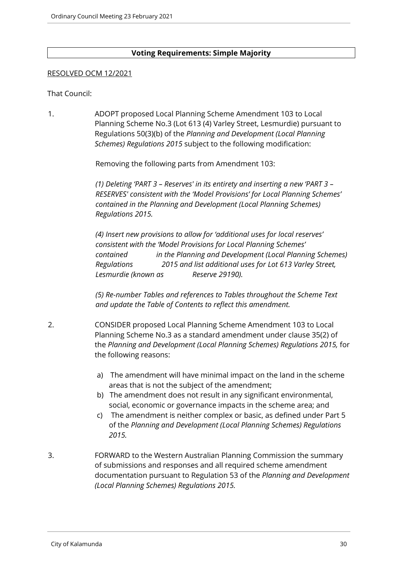#### **Voting Requirements: Simple Majority**

#### RESOLVED OCM 12/2021

#### That Council:

1. ADOPT proposed Local Planning Scheme Amendment 103 to Local Planning Scheme No.3 (Lot 613 (4) Varley Street, Lesmurdie) pursuant to Regulations 50(3)(b) of the *Planning and Development (Local Planning Schemes) Regulations 2015* subject to the following modification:

Removing the following parts from Amendment 103:

*(1) Deleting 'PART 3 – Reserves' in its entirety and inserting a new 'PART 3 – RESERVES' consistent with the 'Model Provisions' for Local Planning Schemes' contained in the Planning and Development (Local Planning Schemes) Regulations 2015.*

*(4) Insert new provisions to allow for 'additional uses for local reserves' consistent with the 'Model Provisions for Local Planning Schemes' contained in the Planning and Development (Local Planning Schemes) Regulations 2015 and list additional uses for Lot 613 Varley Street, Lesmurdie (known as Reserve 29190).*

*(5) Re-number Tables and references to Tables throughout the Scheme Text and update the Table of Contents to reflect this amendment.*

- 2. CONSIDER proposed Local Planning Scheme Amendment 103 to Local Planning Scheme No.3 as a standard amendment under clause 35(2) of the *Planning and Development (Local Planning Schemes) Regulations 2015,* for the following reasons:
	- a) The amendment will have minimal impact on the land in the scheme areas that is not the subject of the amendment;
	- b) The amendment does not result in any significant environmental, social, economic or governance impacts in the scheme area; and
	- c) The amendment is neither complex or basic, as defined under Part 5 of the *Planning and Development (Local Planning Schemes) Regulations 2015.*
- 3. FORWARD to the Western Australian Planning Commission the summary of submissions and responses and all required scheme amendment documentation pursuant to Regulation 53 of the *Planning and Development (Local Planning Schemes) Regulations 2015.*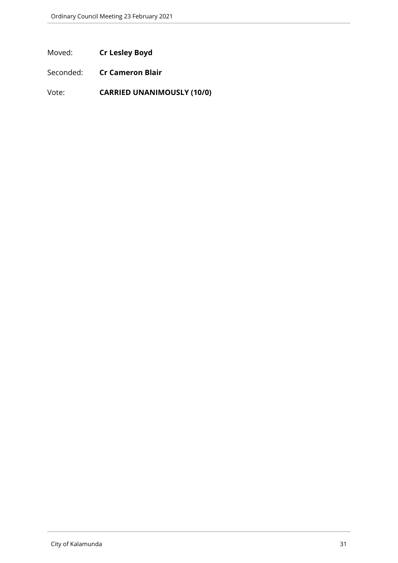Moved: **Cr Lesley Boyd**

Seconded: **Cr Cameron Blair**

Vote: **CARRIED UNANIMOUSLY (10/0)**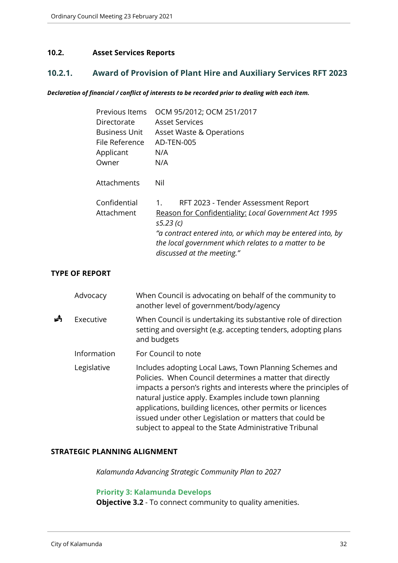#### <span id="page-31-0"></span>**10.2. Asset Services Reports**

# <span id="page-31-1"></span>**10.2.1. Award of Provision of Plant Hire and Auxiliary Services RFT 2023**

#### *Declaration of financial / conflict of interests to be recorded prior to dealing with each item.*

| Previous Items       | OCM 95/2012; OCM 251/2017                                  |
|----------------------|------------------------------------------------------------|
| Directorate          | <b>Asset Services</b>                                      |
| <b>Business Unit</b> | Asset Waste & Operations                                   |
| File Reference       | AD-TEN-005                                                 |
| Applicant            | N/A                                                        |
| Owner                | N/A                                                        |
|                      |                                                            |
| Attachments          | Nil                                                        |
|                      |                                                            |
| Confidential         | RFT 2023 - Tender Assessment Report<br>1.                  |
| Attachment           | Reason for Confidentiality: Local Government Act 1995      |
|                      | s5.23(c)                                                   |
|                      | "a contract entered into, or which may be entered into, by |
|                      | the local government which relates to a matter to be       |
|                      | discussed at the meeting."                                 |
|                      |                                                            |

#### **TYPE OF REPORT**

|   | Advocacy    | When Council is advocating on behalf of the community to<br>another level of government/body/agency                                                                                                                                                                                                                                                                                                                                |
|---|-------------|------------------------------------------------------------------------------------------------------------------------------------------------------------------------------------------------------------------------------------------------------------------------------------------------------------------------------------------------------------------------------------------------------------------------------------|
| Å | Executive   | When Council is undertaking its substantive role of direction<br>setting and oversight (e.g. accepting tenders, adopting plans<br>and budgets                                                                                                                                                                                                                                                                                      |
|   | Information | For Council to note                                                                                                                                                                                                                                                                                                                                                                                                                |
|   | Legislative | Includes adopting Local Laws, Town Planning Schemes and<br>Policies. When Council determines a matter that directly<br>impacts a person's rights and interests where the principles of<br>natural justice apply. Examples include town planning<br>applications, building licences, other permits or licences<br>issued under other Legislation or matters that could be<br>subject to appeal to the State Administrative Tribunal |

# **STRATEGIC PLANNING ALIGNMENT**

*Kalamunda Advancing Strategic Community Plan to 2027*

#### **Priority 3: Kalamunda Develops**

**Objective 3.2** - To connect community to quality amenities.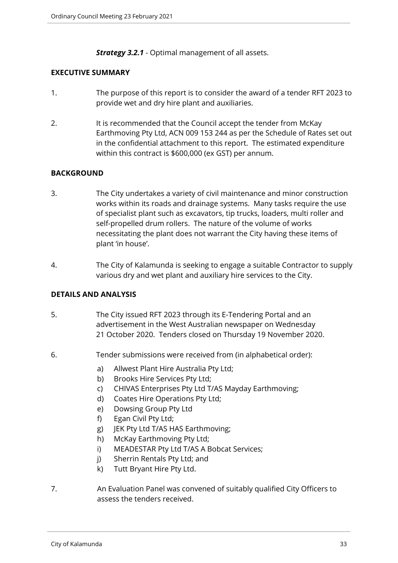*Strategy 3.2.1* - Optimal management of all assets.

#### **EXECUTIVE SUMMARY**

- 1. The purpose of this report is to consider the award of a tender RFT 2023 to provide wet and dry hire plant and auxiliaries.
- 2. It is recommended that the Council accept the tender from McKay Earthmoving Pty Ltd, ACN 009 153 244 as per the Schedule of Rates set out in the confidential attachment to this report. The estimated expenditure within this contract is \$600,000 (ex GST) per annum.

# **BACKGROUND**

- 3. The City undertakes a variety of civil maintenance and minor construction works within its roads and drainage systems. Many tasks require the use of specialist plant such as excavators, tip trucks, loaders, multi roller and self-propelled drum rollers. The nature of the volume of works necessitating the plant does not warrant the City having these items of plant 'in house'.
- 4. The City of Kalamunda is seeking to engage a suitable Contractor to supply various dry and wet plant and auxiliary hire services to the City.

# **DETAILS AND ANALYSIS**

- 5. The City issued RFT 2023 through its E-Tendering Portal and an advertisement in the West Australian newspaper on Wednesday 21 October 2020. Tenders closed on Thursday 19 November 2020.
- 6. Tender submissions were received from (in alphabetical order):
	- a) Allwest Plant Hire Australia Pty Ltd;
	- b) Brooks Hire Services Pty Ltd;
	- c) CHIVAS Enterprises Pty Ltd T/AS Mayday Earthmoving;
	- d) Coates Hire Operations Pty Ltd;
	- e) Dowsing Group Pty Ltd
	- f) Egan Civil Pty Ltd;
	- g) JEK Pty Ltd T/AS HAS Earthmoving;
	- h) McKay Earthmoving Pty Ltd;
	- i) MEADESTAR Pty Ltd T/AS A Bobcat Services;
	- j) Sherrin Rentals Pty Ltd; and
	- k) Tutt Bryant Hire Pty Ltd.
- 7. An Evaluation Panel was convened of suitably qualified City Officers to assess the tenders received.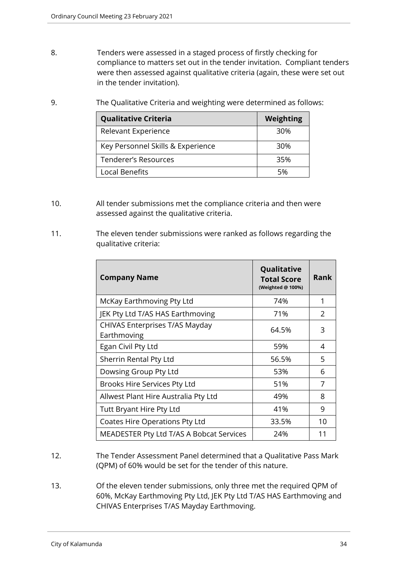- 8. Tenders were assessed in a staged process of firstly checking for compliance to matters set out in the tender invitation. Compliant tenders were then assessed against qualitative criteria (again, these were set out in the tender invitation).
- 9. The Qualitative Criteria and weighting were determined as follows:

| <b>Qualitative Criteria</b>       | Weighting |
|-----------------------------------|-----------|
| Relevant Experience               | 30%       |
| Key Personnel Skills & Experience | 30%       |
| <b>Tenderer's Resources</b>       | 35%       |
| Local Benefits                    | 5%        |

- 10. All tender submissions met the compliance criteria and then were assessed against the qualitative criteria.
- 11. The eleven tender submissions were ranked as follows regarding the qualitative criteria:

| <b>Company Name</b>                           | Qualitative<br><b>Total Score</b><br>(Weighted @ 100%) | Rank |
|-----------------------------------------------|--------------------------------------------------------|------|
| McKay Earthmoving Pty Ltd                     | 74%                                                    | 1    |
| JEK Pty Ltd T/AS HAS Earthmoving              | 71%                                                    | 2    |
| CHIVAS Enterprises T/AS Mayday<br>Earthmoving | 64.5%                                                  | 3    |
| Egan Civil Pty Ltd                            | 59%                                                    | 4    |
| Sherrin Rental Pty Ltd                        | 56.5%                                                  | 5    |
| Dowsing Group Pty Ltd                         | 53%                                                    | 6    |
| Brooks Hire Services Pty Ltd                  | 51%                                                    | 7    |
| Allwest Plant Hire Australia Pty Ltd          | 49%                                                    | 8    |
| <b>Tutt Bryant Hire Pty Ltd</b>               | 41%                                                    | 9    |
| Coates Hire Operations Pty Ltd                | 33.5%                                                  | 10   |
| MEADESTER Pty Ltd T/AS A Bobcat Services      | 24%                                                    | 11   |

- 12. The Tender Assessment Panel determined that a Qualitative Pass Mark (QPM) of 60% would be set for the tender of this nature.
- 13. Of the eleven tender submissions, only three met the required QPM of 60%, McKay Earthmoving Pty Ltd, JEK Pty Ltd T/AS HAS Earthmoving and CHIVAS Enterprises T/AS Mayday Earthmoving.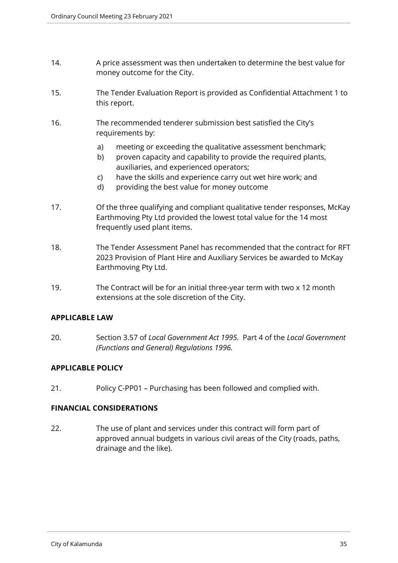- 14. A price assessment was then undertaken to determine the best value for money outcome for the City.
- 15. The Tender Evaluation Report is provided as Confidential Attachment 1 to this report.
- 16. The recommended tenderer submission best satisfied the City's requirements by:
	- a) meeting or exceeding the qualitative assessment benchmark;
	- b) proven capacity and capability to provide the required plants, auxiliaries, and experienced operators;
	- c) have the skills and experience carry out wet hire work; and
	- d) providing the best value for money outcome
- 17. Of the three qualifying and compliant qualitative tender responses, McKay Earthmoving Pty Ltd provided the lowest total value for the 14 most frequently used plant items.
- 18. The Tender Assessment Panel has recommended that the contract for RFT 2023 Provision of Plant Hire and Auxiliary Services be awarded to McKay Earthmoving Pty Ltd.
- 19. The Contract will be for an initial three-year term with two x 12 month extensions at the sole discretion of the City.

# **APPLICABLE LAW**

20. Section 3.57 of *Local Government Act 1995.* Part 4 of the *Local Government (Functions and General) Regulations 1996.*

# **APPLICABLE POLICY**

21. Policy C-PP01 – Purchasing has been followed and complied with.

# **FINANCIAL CONSIDERATIONS**

22. The use of plant and services under this contract will form part of approved annual budgets in various civil areas of the City (roads, paths, drainage and the like).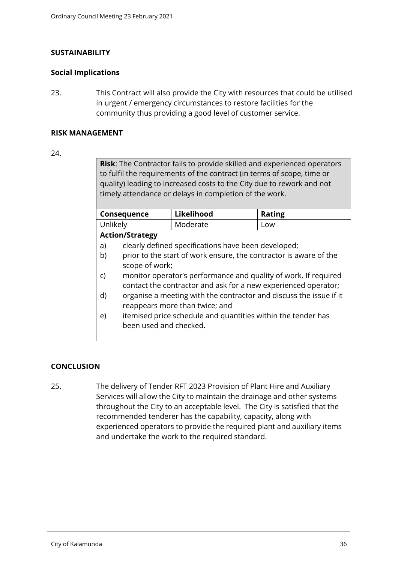#### **SUSTAINABILITY**

#### **Social Implications**

23. This Contract will also provide the City with resources that could be utilised in urgent / emergency circumstances to restore facilities for the community thus providing a good level of customer service.

#### **RISK MANAGEMENT**

#### 24.

**Risk**: The Contractor fails to provide skilled and experienced operators to fulfil the requirements of the contract (in terms of scope, time or quality) leading to increased costs to the City due to rework and not timely attendance or delays in completion of the work.

| Consequence            |                                                                    | Likelihood | <b>Rating</b> |  |  |  |  |
|------------------------|--------------------------------------------------------------------|------------|---------------|--|--|--|--|
| Unlikely               |                                                                    | Moderate   | Low           |  |  |  |  |
| <b>Action/Strategy</b> |                                                                    |            |               |  |  |  |  |
| a)                     | clearly defined specifications have been developed;                |            |               |  |  |  |  |
| b)                     | prior to the start of work ensure, the contractor is aware of the  |            |               |  |  |  |  |
|                        | scope of work;                                                     |            |               |  |  |  |  |
| C)                     | monitor operator's performance and quality of work. If required    |            |               |  |  |  |  |
|                        | contact the contractor and ask for a new experienced operator;     |            |               |  |  |  |  |
| d)                     | organise a meeting with the contractor and discuss the issue if it |            |               |  |  |  |  |
|                        | reappears more than twice; and                                     |            |               |  |  |  |  |
| e)                     | itemised price schedule and quantities within the tender has       |            |               |  |  |  |  |
|                        | been used and checked.                                             |            |               |  |  |  |  |
|                        |                                                                    |            |               |  |  |  |  |

#### **CONCLUSION**

25. The delivery of Tender RFT 2023 Provision of Plant Hire and Auxiliary Services will allow the City to maintain the drainage and other systems throughout the City to an acceptable level. The City is satisfied that the recommended tenderer has the capability, capacity, along with experienced operators to provide the required plant and auxiliary items and undertake the work to the required standard.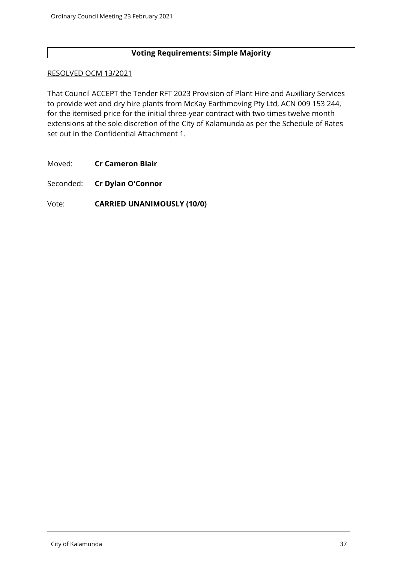## **Voting Requirements: Simple Majority**

#### RESOLVED OCM 13/2021

That Council ACCEPT the Tender RFT 2023 Provision of Plant Hire and Auxiliary Services to provide wet and dry hire plants from McKay Earthmoving Pty Ltd, ACN 009 153 244, for the itemised price for the initial three-year contract with two times twelve month extensions at the sole discretion of the City of Kalamunda as per the Schedule of Rates set out in the Confidential Attachment 1.

Moved: **Cr Cameron Blair**

Seconded: **Cr Dylan O'Connor**

### Vote: **CARRIED UNANIMOUSLY (10/0)**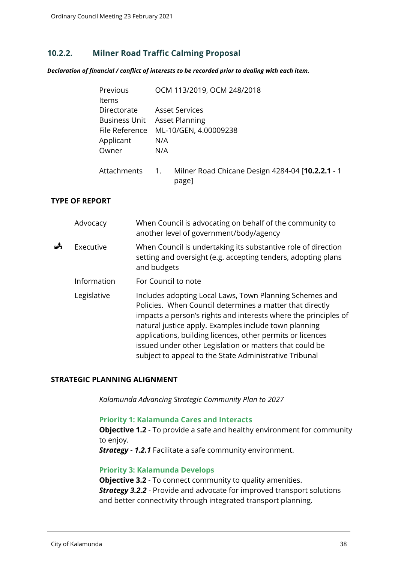## **10.2.2. Milner Road Traffic Calming Proposal**

*Declaration of financial / conflict of interests to be recorded prior to dealing with each item.*

| Previous             | OCM 113/2019, OCM 248/2018                                      |  |  |  |  |
|----------------------|-----------------------------------------------------------------|--|--|--|--|
| Items                |                                                                 |  |  |  |  |
| Directorate          | <b>Asset Services</b>                                           |  |  |  |  |
| <b>Business Unit</b> | <b>Asset Planning</b>                                           |  |  |  |  |
| File Reference       | ML-10/GEN, 4.00009238                                           |  |  |  |  |
| Applicant            | N/A                                                             |  |  |  |  |
| Owner                | N/A                                                             |  |  |  |  |
| Attachments          | Milner Road Chicane Design 4284-04 [10.2.2.1 - 1<br>1.<br>page] |  |  |  |  |

## **TYPE OF REPORT**

|   | Advocacy    | When Council is advocating on behalf of the community to<br>another level of government/body/agency                                                                                                                                                                                                                                                                                                                                |
|---|-------------|------------------------------------------------------------------------------------------------------------------------------------------------------------------------------------------------------------------------------------------------------------------------------------------------------------------------------------------------------------------------------------------------------------------------------------|
| Å | Executive   | When Council is undertaking its substantive role of direction<br>setting and oversight (e.g. accepting tenders, adopting plans<br>and budgets                                                                                                                                                                                                                                                                                      |
|   | Information | For Council to note                                                                                                                                                                                                                                                                                                                                                                                                                |
|   | Legislative | Includes adopting Local Laws, Town Planning Schemes and<br>Policies. When Council determines a matter that directly<br>impacts a person's rights and interests where the principles of<br>natural justice apply. Examples include town planning<br>applications, building licences, other permits or licences<br>issued under other Legislation or matters that could be<br>subject to appeal to the State Administrative Tribunal |

#### **STRATEGIC PLANNING ALIGNMENT**

*Kalamunda Advancing Strategic Community Plan to 2027*

#### **Priority 1: Kalamunda Cares and Interacts**

**Objective 1.2** - To provide a safe and healthy environment for community to enjoy.

*Strategy - 1.2.1* Facilitate a safe community environment.

#### **Priority 3: Kalamunda Develops**

**Objective 3.2** - To connect community to quality amenities. *Strategy 3.2.2* - Provide and advocate for improved transport solutions and better connectivity through integrated transport planning.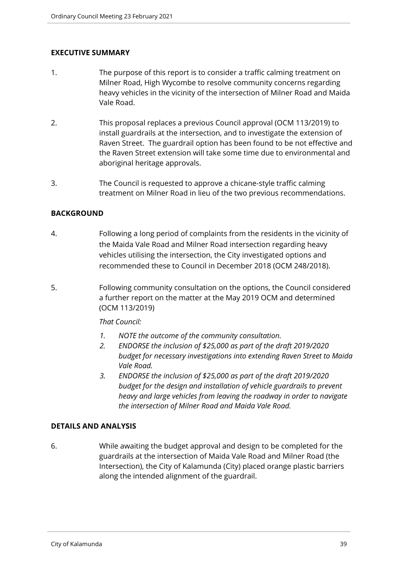## **EXECUTIVE SUMMARY**

- 1. The purpose of this report is to consider a traffic calming treatment on Milner Road, High Wycombe to resolve community concerns regarding heavy vehicles in the vicinity of the intersection of Milner Road and Maida Vale Road.
- 2. This proposal replaces a previous Council approval (OCM 113/2019) to install guardrails at the intersection, and to investigate the extension of Raven Street. The guardrail option has been found to be not effective and the Raven Street extension will take some time due to environmental and aboriginal heritage approvals.
- 3. The Council is requested to approve a chicane-style traffic calming treatment on Milner Road in lieu of the two previous recommendations.

## **BACKGROUND**

- 4. Following a long period of complaints from the residents in the vicinity of the Maida Vale Road and Milner Road intersection regarding heavy vehicles utilising the intersection, the City investigated options and recommended these to Council in December 2018 (OCM 248/2018).
- 5. Following community consultation on the options, the Council considered a further report on the matter at the May 2019 OCM and determined (OCM 113/2019)

## *That Council:*

- *1. NOTE the outcome of the community consultation.*
- *2. ENDORSE the inclusion of \$25,000 as part of the draft 2019/2020 budget for necessary investigations into extending Raven Street to Maida Vale Road.*
- *3. ENDORSE the inclusion of \$25,000 as part of the draft 2019/2020 budget for the design and installation of vehicle guardrails to prevent heavy and large vehicles from leaving the roadway in order to navigate the intersection of Milner Road and Maida Vale Road.*

## **DETAILS AND ANALYSIS**

6. While awaiting the budget approval and design to be completed for the guardrails at the intersection of Maida Vale Road and Milner Road (the Intersection), the City of Kalamunda (City) placed orange plastic barriers along the intended alignment of the guardrail.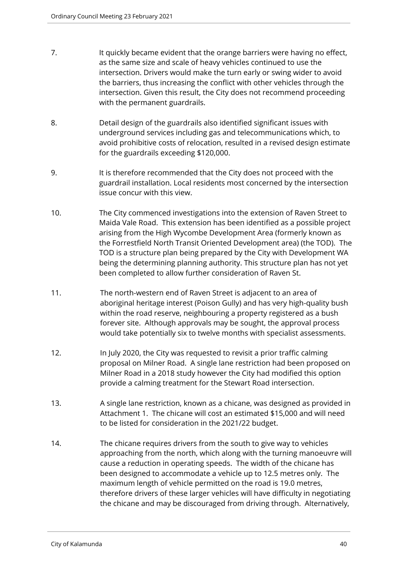- 7. It quickly became evident that the orange barriers were having no effect, as the same size and scale of heavy vehicles continued to use the intersection. Drivers would make the turn early or swing wider to avoid the barriers, thus increasing the conflict with other vehicles through the intersection. Given this result, the City does not recommend proceeding with the permanent guardrails.
- 8. Detail design of the guardrails also identified significant issues with underground services including gas and telecommunications which, to avoid prohibitive costs of relocation, resulted in a revised design estimate for the guardrails exceeding \$120,000.
- 9. It is therefore recommended that the City does not proceed with the guardrail installation. Local residents most concerned by the intersection issue concur with this view.
- 10. The City commenced investigations into the extension of Raven Street to Maida Vale Road. This extension has been identified as a possible project arising from the High Wycombe Development Area (formerly known as the Forrestfield North Transit Oriented Development area) (the TOD). The TOD is a structure plan being prepared by the City with Development WA being the determining planning authority. This structure plan has not yet been completed to allow further consideration of Raven St.
- 11. The north-western end of Raven Street is adjacent to an area of aboriginal heritage interest (Poison Gully) and has very high-quality bush within the road reserve, neighbouring a property registered as a bush forever site. Although approvals may be sought, the approval process would take potentially six to twelve months with specialist assessments.
- 12. In July 2020, the City was requested to revisit a prior traffic calming proposal on Milner Road. A single lane restriction had been proposed on Milner Road in a 2018 study however the City had modified this option provide a calming treatment for the Stewart Road intersection.
- 13. A single lane restriction, known as a chicane, was designed as provided in Attachment 1. The chicane will cost an estimated \$15,000 and will need to be listed for consideration in the 2021/22 budget.
- 14. The chicane requires drivers from the south to give way to vehicles approaching from the north, which along with the turning manoeuvre will cause a reduction in operating speeds. The width of the chicane has been designed to accommodate a vehicle up to 12.5 metres only. The maximum length of vehicle permitted on the road is 19.0 metres, therefore drivers of these larger vehicles will have difficulty in negotiating the chicane and may be discouraged from driving through. Alternatively,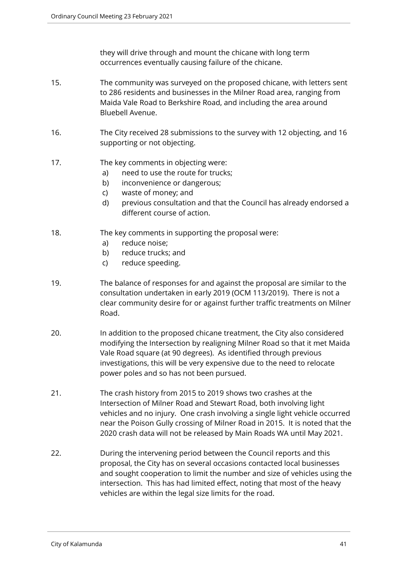they will drive through and mount the chicane with long term occurrences eventually causing failure of the chicane.

- 15. The community was surveyed on the proposed chicane, with letters sent to 286 residents and businesses in the Milner Road area, ranging from Maida Vale Road to Berkshire Road, and including the area around Bluebell Avenue.
- 16. The City received 28 submissions to the survey with 12 objecting, and 16 supporting or not objecting.
- 17. The key comments in objecting were:
	- a) need to use the route for trucks;
	- b) inconvenience or dangerous;
	- c) waste of money; and
	- d) previous consultation and that the Council has already endorsed a different course of action.
- 18. The key comments in supporting the proposal were:
	- a) reduce noise;
	- b) reduce trucks; and
	- c) reduce speeding.
- 19. The balance of responses for and against the proposal are similar to the consultation undertaken in early 2019 (OCM 113/2019). There is not a clear community desire for or against further traffic treatments on Milner Road.
- 20. In addition to the proposed chicane treatment, the City also considered modifying the Intersection by realigning Milner Road so that it met Maida Vale Road square (at 90 degrees). As identified through previous investigations, this will be very expensive due to the need to relocate power poles and so has not been pursued.
- 21. The crash history from 2015 to 2019 shows two crashes at the Intersection of Milner Road and Stewart Road, both involving light vehicles and no injury. One crash involving a single light vehicle occurred near the Poison Gully crossing of Milner Road in 2015. It is noted that the 2020 crash data will not be released by Main Roads WA until May 2021.
- 22. During the intervening period between the Council reports and this proposal, the City has on several occasions contacted local businesses and sought cooperation to limit the number and size of vehicles using the intersection. This has had limited effect, noting that most of the heavy vehicles are within the legal size limits for the road.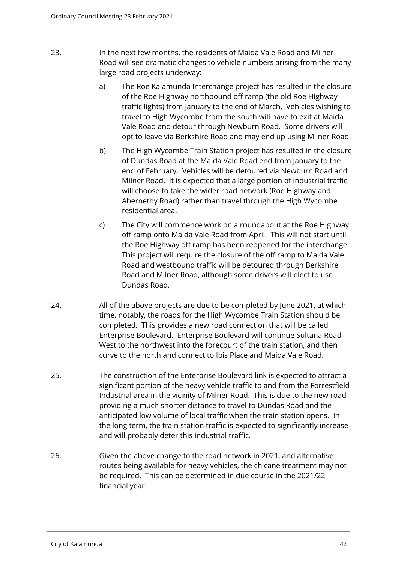- 23. In the next few months, the residents of Maida Vale Road and Milner Road will see dramatic changes to vehicle numbers arising from the many large road projects underway:
	- a) The Roe Kalamunda Interchange project has resulted in the closure of the Roe Highway northbound off ramp (the old Roe Highway traffic lights) from January to the end of March. Vehicles wishing to travel to High Wycombe from the south will have to exit at Maida Vale Road and detour through Newburn Road. Some drivers will opt to leave via Berkshire Road and may end up using Milner Road.
	- b) The High Wycombe Train Station project has resulted in the closure of Dundas Road at the Maida Vale Road end from January to the end of February. Vehicles will be detoured via Newburn Road and Milner Road. It is expected that a large portion of industrial traffic will choose to take the wider road network (Roe Highway and Abernethy Road) rather than travel through the High Wycombe residential area.
	- c) The City will commence work on a roundabout at the Roe Highway off ramp onto Maida Vale Road from April. This will not start until the Roe Highway off ramp has been reopened for the interchange. This project will require the closure of the off ramp to Maida Vale Road and westbound traffic will be detoured through Berkshire Road and Milner Road, although some drivers will elect to use Dundas Road.
- 24. All of the above projects are due to be completed by June 2021, at which time, notably, the roads for the High Wycombe Train Station should be completed. This provides a new road connection that will be called Enterprise Boulevard. Enterprise Boulevard will continue Sultana Road West to the northwest into the forecourt of the train station, and then curve to the north and connect to Ibis Place and Maida Vale Road.
- 25. The construction of the Enterprise Boulevard link is expected to attract a significant portion of the heavy vehicle traffic to and from the Forrestfield Industrial area in the vicinity of Milner Road. This is due to the new road providing a much shorter distance to travel to Dundas Road and the anticipated low volume of local traffic when the train station opens. In the long term, the train station traffic is expected to significantly increase and will probably deter this industrial traffic.
- 26. Given the above change to the road network in 2021, and alternative routes being available for heavy vehicles, the chicane treatment may not be required. This can be determined in due course in the 2021/22 financial year.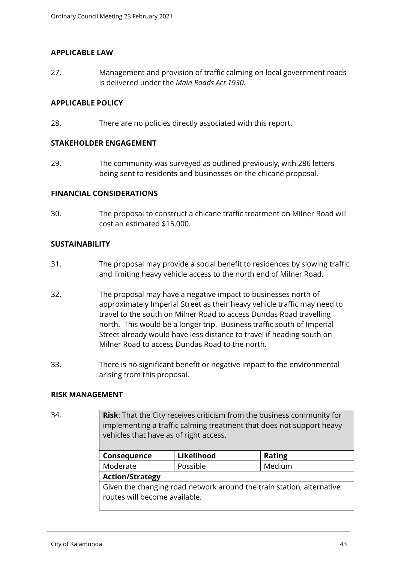#### **APPLICABLE LAW**

27. Management and provision of traffic calming on local government roads is delivered under the *Main Roads Act 1930*.

## **APPLICABLE POLICY**

28. There are no policies directly associated with this report.

#### **STAKEHOLDER ENGAGEMENT**

29. The community was surveyed as outlined previously, with 286 letters being sent to residents and businesses on the chicane proposal.

### **FINANCIAL CONSIDERATIONS**

30. The proposal to construct a chicane traffic treatment on Milner Road will cost an estimated \$15,000.

### **SUSTAINABILITY**

- 31. The proposal may provide a social benefit to residences by slowing traffic and limiting heavy vehicle access to the north end of Milner Road.
- 32. The proposal may have a negative impact to businesses north of approximately Imperial Street as their heavy vehicle traffic may need to travel to the south on Milner Road to access Dundas Road travelling north. This would be a longer trip. Business traffic south of Imperial Street already would have less distance to travel if heading south on Milner Road to access Dundas Road to the north.
- 33. There is no significant benefit or negative impact to the environmental arising from this proposal.

#### **RISK MANAGEMENT**

34. **Risk**: That the City receives criticism from the business community for implementing a traffic calming treatment that does not support heavy vehicles that have as of right access.

| Consequence                                                                                            | Likelihood | <b>Rating</b> |  |  |
|--------------------------------------------------------------------------------------------------------|------------|---------------|--|--|
| Moderate                                                                                               | Possible   | Medium        |  |  |
| <b>Action/Strategy</b>                                                                                 |            |               |  |  |
| Given the changing road network around the train station, alternative<br>routes will become available. |            |               |  |  |
|                                                                                                        |            |               |  |  |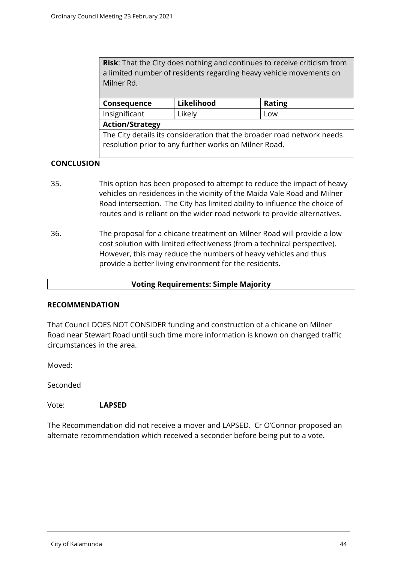**Risk**: That the City does nothing and continues to receive criticism from a limited number of residents regarding heavy vehicle movements on Milner Rd.

| <b>Consequence</b>                                                     | Likelihood | <b>Rating</b> |  |  |
|------------------------------------------------------------------------|------------|---------------|--|--|
| Insignificant                                                          | Likely     | Low           |  |  |
| <b>Action/Strategy</b>                                                 |            |               |  |  |
| The City details its consideration that the broader road network needs |            |               |  |  |

# **CONCLUSION**

35. This option has been proposed to attempt to reduce the impact of heavy vehicles on residences in the vicinity of the Maida Vale Road and Milner Road intersection. The City has limited ability to influence the choice of routes and is reliant on the wider road network to provide alternatives.

resolution prior to any further works on Milner Road.

36. The proposal for a chicane treatment on Milner Road will provide a low cost solution with limited effectiveness (from a technical perspective). However, this may reduce the numbers of heavy vehicles and thus provide a better living environment for the residents.

#### **Voting Requirements: Simple Majority**

#### **RECOMMENDATION**

That Council DOES NOT CONSIDER funding and construction of a chicane on Milner Road near Stewart Road until such time more information is known on changed traffic circumstances in the area.

Moved:

Seconded

#### Vote: **LAPSED**

The Recommendation did not receive a mover and LAPSED. Cr O'Connor proposed an alternate recommendation which received a seconder before being put to a vote.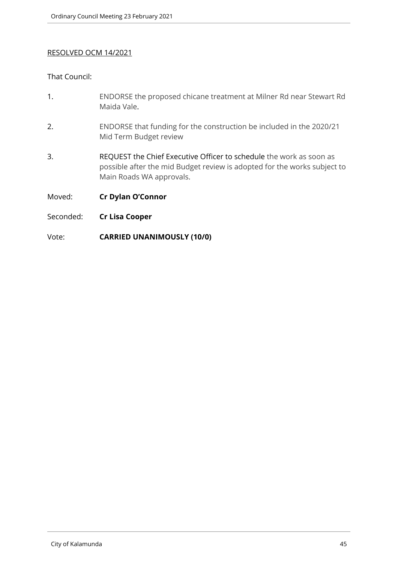## RESOLVED OCM 14/2021

## That Council:

- 1. ENDORSE the proposed chicane treatment at Milner Rd near Stewart Rd Maida Vale.
- 2. ENDORSE that funding for the construction be included in the 2020/21 Mid Term Budget review
- 3. REQUEST the Chief Executive Officer to schedule the work as soon as possible after the mid Budget review is adopted for the works subject to Main Roads WA approvals.
- Moved: **Cr Dylan O'Connor**
- Seconded: **Cr Lisa Cooper**
- Vote: **CARRIED UNANIMOUSLY (10/0)**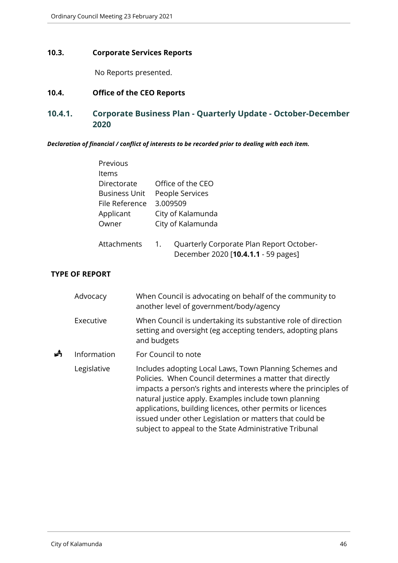## **10.3. Corporate Services Reports**

No Reports presented.

# **10.4. Office of the CEO Reports**

# **10.4.1. Corporate Business Plan - Quarterly Update - October-December 2020**

*Declaration of financial / conflict of interests to be recorded prior to dealing with each item.*

|             |                       | Previous                                                                             |                                                                                                                                                                                                                                                                                                                                                                                                                                    |                                                                                            |                                                                                                                              |  |
|-------------|-----------------------|--------------------------------------------------------------------------------------|------------------------------------------------------------------------------------------------------------------------------------------------------------------------------------------------------------------------------------------------------------------------------------------------------------------------------------------------------------------------------------------------------------------------------------|--------------------------------------------------------------------------------------------|------------------------------------------------------------------------------------------------------------------------------|--|
|             |                       | Items<br>Directorate<br><b>Business Unit</b><br>File Reference<br>Applicant<br>Owner |                                                                                                                                                                                                                                                                                                                                                                                                                                    | Office of the CEO<br>People Services<br>3.009509<br>City of Kalamunda<br>City of Kalamunda |                                                                                                                              |  |
|             |                       | Attachments                                                                          |                                                                                                                                                                                                                                                                                                                                                                                                                                    | 1.                                                                                         | Quarterly Corporate Plan Report October-<br>December 2020 [10.4.1.1 - 59 pages]                                              |  |
|             | <b>TYPE OF REPORT</b> |                                                                                      |                                                                                                                                                                                                                                                                                                                                                                                                                                    |                                                                                            |                                                                                                                              |  |
|             | Advocacy              |                                                                                      |                                                                                                                                                                                                                                                                                                                                                                                                                                    |                                                                                            | When Council is advocating on behalf of the community to<br>another level of government/body/agency                          |  |
|             | Executive             |                                                                                      |                                                                                                                                                                                                                                                                                                                                                                                                                                    | and budgets                                                                                | When Council is undertaking its substantive role of direction<br>setting and oversight (eg accepting tenders, adopting plans |  |
| 歭           | Information           |                                                                                      |                                                                                                                                                                                                                                                                                                                                                                                                                                    |                                                                                            | For Council to note                                                                                                          |  |
| Legislative |                       |                                                                                      | Includes adopting Local Laws, Town Planning Schemes and<br>Policies. When Council determines a matter that directly<br>impacts a person's rights and interests where the principles of<br>natural justice apply. Examples include town planning<br>applications, building licences, other permits or licences<br>issued under other Legislation or matters that could be<br>subject to appeal to the State Administrative Tribunal |                                                                                            |                                                                                                                              |  |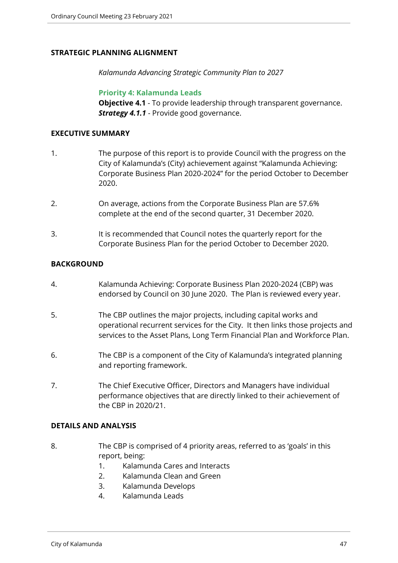## **STRATEGIC PLANNING ALIGNMENT**

*Kalamunda Advancing Strategic Community Plan to 2027*

**Priority 4: Kalamunda Leads**

**Objective 4.1** - To provide leadership through transparent governance. **Strategy 4.1.1** - Provide good governance.

### **EXECUTIVE SUMMARY**

- 1. The purpose of this report is to provide Council with the progress on the City of Kalamunda's (City) achievement against "Kalamunda Achieving: Corporate Business Plan 2020-2024" for the period October to December 2020.
- 2. On average, actions from the Corporate Business Plan are 57.6% complete at the end of the second quarter, 31 December 2020.
- 3. It is recommended that Council notes the quarterly report for the Corporate Business Plan for the period October to December 2020.

## **BACKGROUND**

- 4. Kalamunda Achieving: Corporate Business Plan 2020-2024 (CBP) was endorsed by Council on 30 June 2020. The Plan is reviewed every year.
- 5. The CBP outlines the major projects, including capital works and operational recurrent services for the City. It then links those projects and services to the Asset Plans, Long Term Financial Plan and Workforce Plan.
- 6. The CBP is a component of the City of Kalamunda's integrated planning and reporting framework.
- 7. The Chief Executive Officer, Directors and Managers have individual performance objectives that are directly linked to their achievement of the CBP in 2020/21.

## **DETAILS AND ANALYSIS**

- 8. The CBP is comprised of 4 priority areas, referred to as 'goals' in this report, being:
	- 1. Kalamunda Cares and Interacts
	- 2. Kalamunda Clean and Green
	- 3. Kalamunda Develops
	- 4. Kalamunda Leads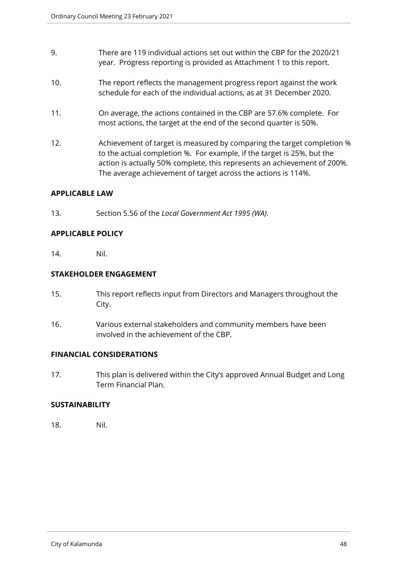- 9. There are 119 individual actions set out within the CBP for the 2020/21 year. Progress reporting is provided as Attachment 1 to this report.
- 10. The report reflects the management progress report against the work schedule for each of the individual actions, as at 31 December 2020.
- 11. On average, the actions contained in the CBP are 57.6% complete. For most actions, the target at the end of the second quarter is 50%.
- 12. Achievement of target is measured by comparing the target completion % to the actual completion %. For example, if the target is 25%, but the action is actually 50% complete, this represents an achievement of 200%. The average achievement of target across the actions is 114%.

### **APPLICABLE LAW**

13. Section 5.56 of the *Local Government Act 1995 (WA)*.

### **APPLICABLE POLICY**

14. Nil.

### **STAKEHOLDER ENGAGEMENT**

- 15. This report reflects input from Directors and Managers throughout the City.
- 16. Various external stakeholders and community members have been involved in the achievement of the CBP.

#### **FINANCIAL CONSIDERATIONS**

17. This plan is delivered within the City's approved Annual Budget and Long Term Financial Plan.

## **SUSTAINABILITY**

18. Nil.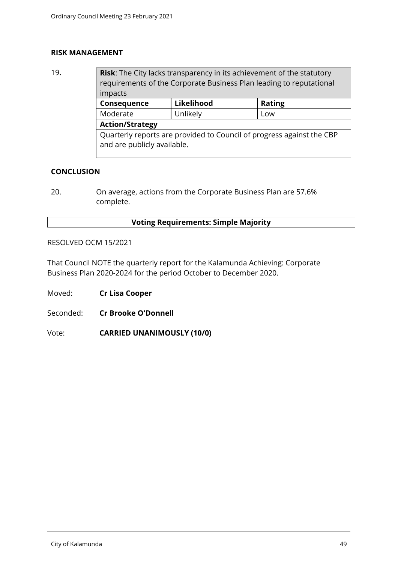#### **RISK MANAGEMENT**

19. **Risk**: The City lacks transparency in its achievement of the statutory requirements of the Corporate Business Plan leading to reputational impacts **Consequence Likelihood Rating** Moderate | Unlikely | Low **Action/Strategy** Quarterly reports are provided to Council of progress against the CBP and are publicly available.

## **CONCLUSION**

20. On average, actions from the Corporate Business Plan are 57.6% complete.

### **Voting Requirements: Simple Majority**

#### RESOLVED OCM 15/2021

That Council NOTE the quarterly report for the Kalamunda Achieving: Corporate Business Plan 2020-2024 for the period October to December 2020.

Moved: **Cr Lisa Cooper**

Seconded: **Cr Brooke O'Donnell**

Vote: **CARRIED UNANIMOUSLY (10/0)**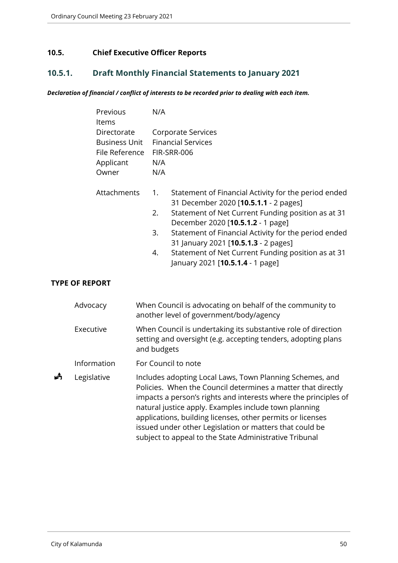# **10.5. Chief Executive Officer Reports**

# **10.5.1. Draft Monthly Financial Statements to January 2021**

### *Declaration of financial / conflict of interests to be recorded prior to dealing with each item.*

| Previous<br>Items                                                           | N/A                                                                                                                                                                                                                                                                                                                                                                                                        |
|-----------------------------------------------------------------------------|------------------------------------------------------------------------------------------------------------------------------------------------------------------------------------------------------------------------------------------------------------------------------------------------------------------------------------------------------------------------------------------------------------|
| Directorate<br><b>Business Unit</b><br>File Reference<br>Applicant<br>Owner | Corporate Services<br><b>Financial Services</b><br>FIR-SRR-006<br>N/A<br>N/A                                                                                                                                                                                                                                                                                                                               |
| Attachments                                                                 | Statement of Financial Activity for the period ended<br>1.<br>31 December 2020 [10.5.1.1 - 2 pages]<br>Statement of Net Current Funding position as at 31<br>2.<br>December 2020 [10.5.1.2 - 1 page]<br>Statement of Financial Activity for the period ended<br>3.<br>31 January 2021 [10.5.1.3 - 2 pages]<br>Statement of Net Current Funding position as at 31<br>4.<br>January 2021 [10.5.1.4 - 1 page] |
| <b>TYPE OF REPORT</b>                                                       |                                                                                                                                                                                                                                                                                                                                                                                                            |

|  |  | . |  |
|--|--|---|--|
|  |  |   |  |
|  |  |   |  |
|  |  |   |  |

|   | Advocacy    | When Council is advocating on behalf of the community to<br>another level of government/body/agency                                                                                                                                                                                                                                                                                                                                     |
|---|-------------|-----------------------------------------------------------------------------------------------------------------------------------------------------------------------------------------------------------------------------------------------------------------------------------------------------------------------------------------------------------------------------------------------------------------------------------------|
|   | Executive   | When Council is undertaking its substantive role of direction<br>setting and oversight (e.g. accepting tenders, adopting plans<br>and budgets                                                                                                                                                                                                                                                                                           |
|   | Information | For Council to note                                                                                                                                                                                                                                                                                                                                                                                                                     |
| ₳ | Legislative | Includes adopting Local Laws, Town Planning Schemes, and<br>Policies. When the Council determines a matter that directly<br>impacts a person's rights and interests where the principles of<br>natural justice apply. Examples include town planning<br>applications, building licenses, other permits or licenses<br>issued under other Legislation or matters that could be<br>subject to appeal to the State Administrative Tribunal |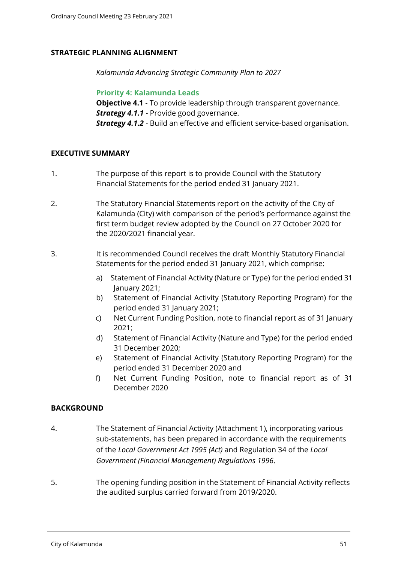## **STRATEGIC PLANNING ALIGNMENT**

*Kalamunda Advancing Strategic Community Plan to 2027*

**Priority 4: Kalamunda Leads**

**Objective 4.1** - To provide leadership through transparent governance. **Strategy 4.1.1** - Provide good governance. *Strategy 4.1.2* - Build an effective and efficient service-based organisation.

## **EXECUTIVE SUMMARY**

- 1. The purpose of this report is to provide Council with the Statutory Financial Statements for the period ended 31 January 2021.
- 2. The Statutory Financial Statements report on the activity of the City of Kalamunda (City) with comparison of the period's performance against the first term budget review adopted by the Council on 27 October 2020 for the 2020/2021 financial year.
- 3. It is recommended Council receives the draft Monthly Statutory Financial Statements for the period ended 31 January 2021, which comprise:
	- a) Statement of Financial Activity (Nature or Type) for the period ended 31 January 2021;
	- b) Statement of Financial Activity (Statutory Reporting Program) for the period ended 31 January 2021;
	- c) Net Current Funding Position, note to financial report as of 31 January 2021;
	- d) Statement of Financial Activity (Nature and Type) for the period ended 31 December 2020;
	- e) Statement of Financial Activity (Statutory Reporting Program) for the period ended 31 December 2020 and
	- f) Net Current Funding Position, note to financial report as of 31 December 2020

## **BACKGROUND**

- 4. The Statement of Financial Activity (Attachment 1), incorporating various sub-statements, has been prepared in accordance with the requirements of the *Local Government Act 1995 (Act)* and Regulation 34 of the *Local Government (Financial Management) Regulations 1996*.
- 5. The opening funding position in the Statement of Financial Activity reflects the audited surplus carried forward from 2019/2020.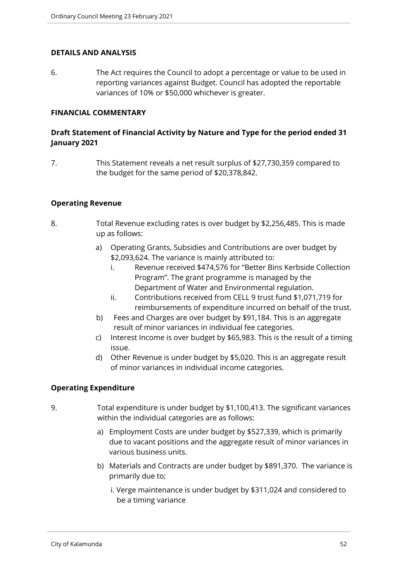#### **DETAILS AND ANALYSIS**

6. The Act requires the Council to adopt a percentage or value to be used in reporting variances against Budget. Council has adopted the reportable variances of 10% or \$50,000 whichever is greater.

#### **FINANCIAL COMMENTARY**

## **Draft Statement of Financial Activity by Nature and Type for the period ended 31 January 2021**

7. This Statement reveals a net result surplus of \$27,730,359 compared to the budget for the same period of \$20,378,842.

### **Operating Revenue**

- 8. Total Revenue excluding rates is over budget by \$2,256,485. This is made up as follows:
	- a) Operating Grants, Subsidies and Contributions are over budget by \$2,093,624. The variance is mainly attributed to:
		- i. Revenue received \$474,576 for "Better Bins Kerbside Collection Program". The grant programme is managed by the Department of Water and Environmental regulation.
		- ii. Contributions received from CELL 9 trust fund \$1,071,719 for reimbursements of expenditure incurred on behalf of the trust.
	- b) Fees and Charges are over budget by \$91,184. This is an aggregate result of minor variances in individual fee categories.
	- c) Interest Income is over budget by \$65,983. This is the result of a timing issue.
	- d) Other Revenue is under budget by \$5,020. This is an aggregate result of minor variances in individual income categories.

## **Operating Expenditure**

- 9. Total expenditure is under budget by \$1,100,413. The significant variances within the individual categories are as follows:
	- a) Employment Costs are under budget by \$527,339, which is primarily due to vacant positions and the aggregate result of minor variances in various business units.
	- b) Materials and Contracts are under budget by \$891,370. The variance is primarily due to;
		- i. Verge maintenance is under budget by \$311,024 and considered to be a timing variance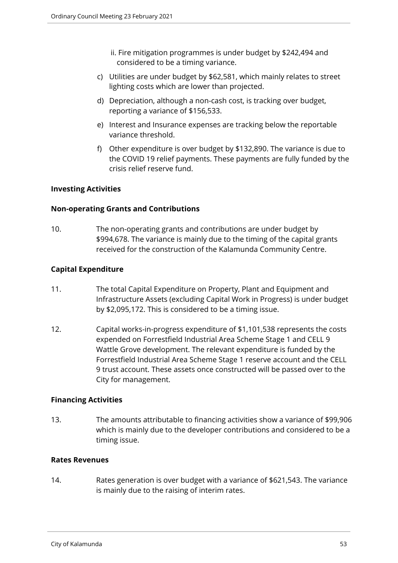- ii. Fire mitigation programmes is under budget by \$242,494 and considered to be a timing variance.
- c) Utilities are under budget by \$62,581, which mainly relates to street lighting costs which are lower than projected.
- d) Depreciation, although a non-cash cost, is tracking over budget, reporting a variance of \$156,533.
- e) Interest and Insurance expenses are tracking below the reportable variance threshold.
- f) Other expenditure is over budget by \$132,890. The variance is due to the COVID 19 relief payments. These payments are fully funded by the crisis relief reserve fund.

## **Investing Activities**

## **Non-operating Grants and Contributions**

10. The non-operating grants and contributions are under budget by \$994,678. The variance is mainly due to the timing of the capital grants received for the construction of the Kalamunda Community Centre.

# **Capital Expenditure**

- 11. The total Capital Expenditure on Property, Plant and Equipment and Infrastructure Assets (excluding Capital Work in Progress) is under budget by \$2,095,172. This is considered to be a timing issue.
- 12. Capital works-in-progress expenditure of \$1,101,538 represents the costs expended on Forrestfield Industrial Area Scheme Stage 1 and CELL 9 Wattle Grove development. The relevant expenditure is funded by the Forrestfield Industrial Area Scheme Stage 1 reserve account and the CELL 9 trust account. These assets once constructed will be passed over to the City for management.

## **Financing Activities**

13. The amounts attributable to financing activities show a variance of \$99,906 which is mainly due to the developer contributions and considered to be a timing issue.

## **Rates Revenues**

14. Rates generation is over budget with a variance of \$621,543. The variance is mainly due to the raising of interim rates.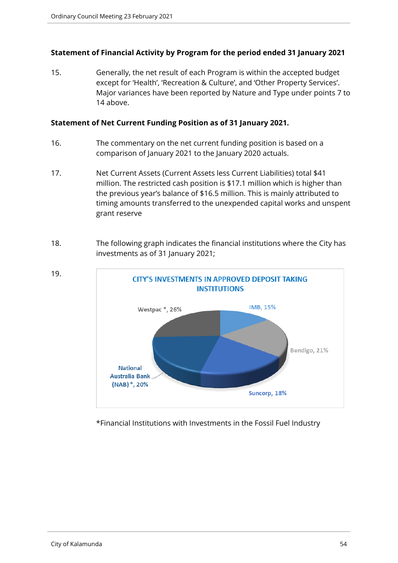## **Statement of Financial Activity by Program for the period ended 31 January 2021**

15. Generally, the net result of each Program is within the accepted budget except for 'Health', 'Recreation & Culture', and 'Other Property Services'. Major variances have been reported by Nature and Type under points 7 to 14 above.

#### **Statement of Net Current Funding Position as of 31 January 2021.**

- 16. The commentary on the net current funding position is based on a comparison of January 2021 to the January 2020 actuals.
- 17. Net Current Assets (Current Assets less Current Liabilities) total \$41 million. The restricted cash position is \$17.1 million which is higher than the previous year's balance of \$16.5 million. This is mainly attributed to timing amounts transferred to the unexpended capital works and unspent grant reserve
- 18. The following graph indicates the financial institutions where the City has investments as of 31 January 2021;



\*Financial Institutions with Investments in the Fossil Fuel Industry

19.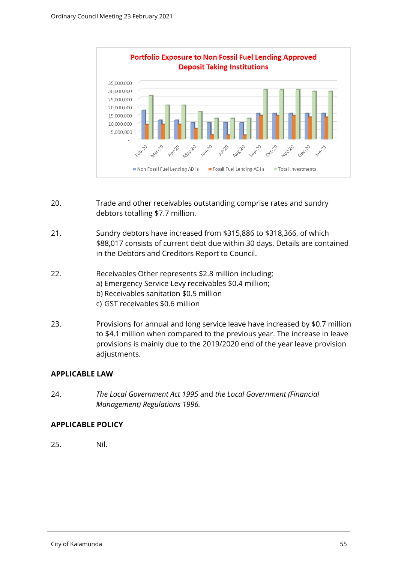

- 20. Trade and other receivables outstanding comprise rates and sundry debtors totalling \$7.7 million.
- 21. Sundry debtors have increased from \$315,886 to \$318,366, of which \$88,017 consists of current debt due within 30 days. Details are contained in the Debtors and Creditors Report to Council.
- 22. Receivables Other represents \$2.8 million including: a) Emergency Service Levy receivables \$0.4 million; b) Receivables sanitation \$0.5 million c) GST receivables \$0.6 million
- 23. Provisions for annual and long service leave have increased by \$0.7 million to \$4.1 million when compared to the previous year. The increase in leave provisions is mainly due to the 2019/2020 end of the year leave provision adjustments.

#### **APPLICABLE LAW**

24. *The Local Government Act 1995* and *the Local Government (Financial Management) Regulations 1996.*

## **APPLICABLE POLICY**

25. Nil.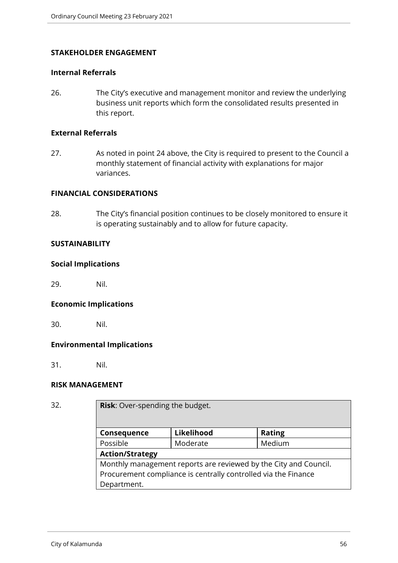### **STAKEHOLDER ENGAGEMENT**

#### **Internal Referrals**

26. The City's executive and management monitor and review the underlying business unit reports which form the consolidated results presented in this report.

#### **External Referrals**

27. As noted in point 24 above, the City is required to present to the Council a monthly statement of financial activity with explanations for major variances.

#### **FINANCIAL CONSIDERATIONS**

28. The City's financial position continues to be closely monitored to ensure it is operating sustainably and to allow for future capacity.

### **SUSTAINABILITY**

#### **Social Implications**

29. Nil.

#### **Economic Implications**

30. Nil.

## **Environmental Implications**

31. Nil.

## **RISK MANAGEMENT**

| v<br>× | ۰<br>$\sim$ |  |
|--------|-------------|--|
|        |             |  |

**Risk:** Over-spending the budget.

| Consequence                                                      | Likelihood | <b>Rating</b> |  |
|------------------------------------------------------------------|------------|---------------|--|
| Possible                                                         | Moderate   | Medium        |  |
| <b>Action/Strategy</b>                                           |            |               |  |
| Monthly management reports are reviewed by the City and Council. |            |               |  |
| Procurement compliance is centrally controlled via the Finance   |            |               |  |
| Department.                                                      |            |               |  |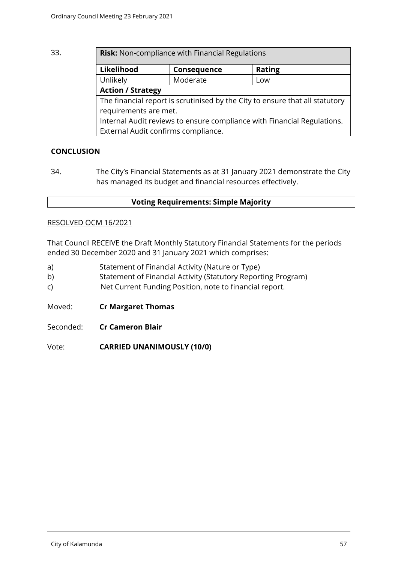| 33. | <b>Risk:</b> Non-compliance with Financial Regulations                       |             |               |  |  |
|-----|------------------------------------------------------------------------------|-------------|---------------|--|--|
|     | Likelihood                                                                   | Consequence | <b>Rating</b> |  |  |
|     | Unlikely                                                                     | Moderate    | Low           |  |  |
|     | <b>Action / Strategy</b>                                                     |             |               |  |  |
|     | The financial report is scrutinised by the City to ensure that all statutory |             |               |  |  |
|     | requirements are met.                                                        |             |               |  |  |
|     | Internal Audit reviews to ensure compliance with Financial Regulations.      |             |               |  |  |
|     | External Audit confirms compliance.                                          |             |               |  |  |

# **CONCLUSION**

34. The City's Financial Statements as at 31 January 2021 demonstrate the City has managed its budget and financial resources effectively.

### **Voting Requirements: Simple Majority**

### RESOLVED OCM 16/2021

That Council RECEIVE the Draft Monthly Statutory Financial Statements for the periods ended 30 December 2020 and 31 January 2021 which comprises:

- a) Statement of Financial Activity (Nature or Type)
- b) Statement of Financial Activity (Statutory Reporting Program)
- c) Net Current Funding Position, note to financial report.
- Moved: **Cr Margaret Thomas**
- Seconded: **Cr Cameron Blair**

Vote: **CARRIED UNANIMOUSLY (10/0)**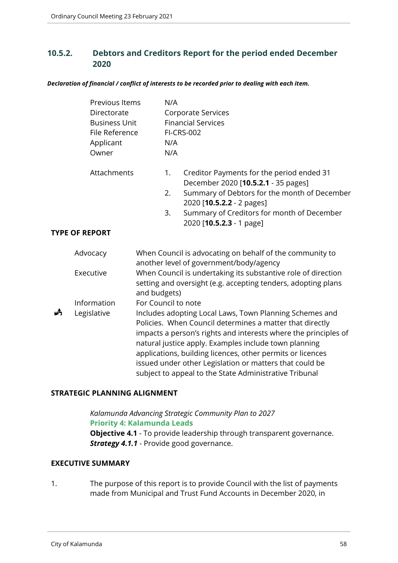# **10.5.2. Debtors and Creditors Report for the period ended December 2020**

*Declaration of financial / conflict of interests to be recorded prior to dealing with each item.*

|                                                                                                                                                                                                                                                                                                                                                                                                                                                        | Previous Items<br>Directorate<br><b>Business Unit</b><br>File Reference<br>Applicant<br>Owner |                     | N/A<br><b>Corporate Services</b><br><b>Financial Services</b><br><b>FI-CRS-002</b><br>N/A<br>N/A |                                                                                                                                  |  |
|--------------------------------------------------------------------------------------------------------------------------------------------------------------------------------------------------------------------------------------------------------------------------------------------------------------------------------------------------------------------------------------------------------------------------------------------------------|-----------------------------------------------------------------------------------------------|---------------------|--------------------------------------------------------------------------------------------------|----------------------------------------------------------------------------------------------------------------------------------|--|
|                                                                                                                                                                                                                                                                                                                                                                                                                                                        | Attachments                                                                                   |                     | 1.<br>2.                                                                                         | Creditor Payments for the period ended 31<br>December 2020 [10.5.2.1 - 35 pages]<br>Summary of Debtors for the month of December |  |
|                                                                                                                                                                                                                                                                                                                                                                                                                                                        |                                                                                               |                     | 3.                                                                                               | 2020 [10.5.2.2 - 2 pages]<br>Summary of Creditors for month of December<br>2020 [10.5.2.3 - 1 page]                              |  |
|                                                                                                                                                                                                                                                                                                                                                                                                                                                        | <b>TYPE OF REPORT</b>                                                                         |                     |                                                                                                  |                                                                                                                                  |  |
|                                                                                                                                                                                                                                                                                                                                                                                                                                                        | Advocacy                                                                                      |                     |                                                                                                  | When Council is advocating on behalf of the community to<br>another level of government/body/agency                              |  |
|                                                                                                                                                                                                                                                                                                                                                                                                                                                        | Executive                                                                                     | and budgets)        |                                                                                                  | When Council is undertaking its substantive role of direction<br>setting and oversight (e.g. accepting tenders, adopting plans   |  |
|                                                                                                                                                                                                                                                                                                                                                                                                                                                        | Information                                                                                   | For Council to note |                                                                                                  |                                                                                                                                  |  |
| ĥ<br>Legislative<br>Includes adopting Local Laws, Town Planning Schemes and<br>Policies. When Council determines a matter that directly<br>impacts a person's rights and interests where the principles of<br>natural justice apply. Examples include town planning<br>applications, building licences, other permits or licences<br>issued under other Legislation or matters that could be<br>subject to appeal to the State Administrative Tribunal |                                                                                               |                     |                                                                                                  |                                                                                                                                  |  |

## **STRATEGIC PLANNING ALIGNMENT**

*Kalamunda Advancing Strategic Community Plan to 2027* **Priority 4: Kalamunda Leads Objective 4.1** - To provide leadership through transparent governance. *Strategy 4.1.1* - Provide good governance.

#### **EXECUTIVE SUMMARY**

1. The purpose of this report is to provide Council with the list of payments made from Municipal and Trust Fund Accounts in December 2020, in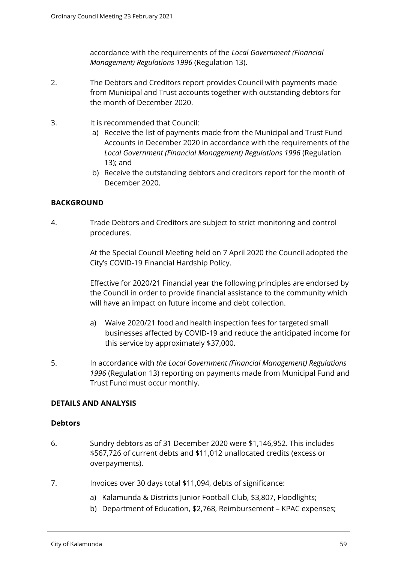accordance with the requirements of the *Local Government (Financial Management) Regulations 1996* (Regulation 13).

- 2. The Debtors and Creditors report provides Council with payments made from Municipal and Trust accounts together with outstanding debtors for the month of December 2020.
- 3. It is recommended that Council:
	- a) Receive the list of payments made from the Municipal and Trust Fund Accounts in December 2020 in accordance with the requirements of the *Local Government (Financial Management) Regulations 1996* (Regulation 13); and
	- b) Receive the outstanding debtors and creditors report for the month of December 2020.

## **BACKGROUND**

4. Trade Debtors and Creditors are subject to strict monitoring and control procedures.

> At the Special Council Meeting held on 7 April 2020 the Council adopted the City's COVID-19 Financial Hardship Policy.

> Effective for 2020/21 Financial year the following principles are endorsed by the Council in order to provide financial assistance to the community which will have an impact on future income and debt collection.

- a) Waive 2020/21 food and health inspection fees for targeted small businesses affected by COVID-19 and reduce the anticipated income for this service by approximately \$37,000.
- 5. In accordance with *the Local Government (Financial Management) Regulations 1996* (Regulation 13) reporting on payments made from Municipal Fund and Trust Fund must occur monthly.

## **DETAILS AND ANALYSIS**

#### **Debtors**

- 6. Sundry debtors as of 31 December 2020 were \$1,146,952. This includes \$567,726 of current debts and \$11,012 unallocated credits (excess or overpayments).
- 7. Invoices over 30 days total \$11,094, debts of significance:
	- a) Kalamunda & Districts Junior Football Club, \$3,807, Floodlights;
	- b) Department of Education, \$2,768, Reimbursement KPAC expenses;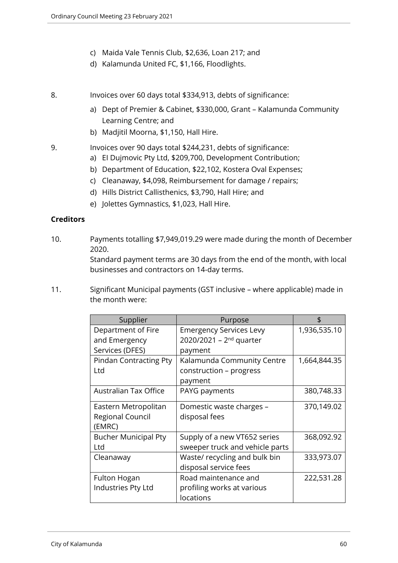- c) Maida Vale Tennis Club, \$2,636, Loan 217; and
- d) Kalamunda United FC, \$1,166, Floodlights.
- 8. Invoices over 60 days total \$334,913, debts of significance:
	- a) Dept of Premier & Cabinet, \$330,000, Grant Kalamunda Community Learning Centre; and
	- b) Madjitil Moorna, \$1,150, Hall Hire.
- 9. Invoices over 90 days total \$244,231, debts of significance:
	- a) EI Dujmovic Pty Ltd, \$209,700, Development Contribution;
	- b) Department of Education, \$22,102, Kostera Oval Expenses;
	- c) Cleanaway, \$4,098, Reimbursement for damage / repairs;
	- d) Hills District Callisthenics, \$3,790, Hall Hire; and
	- e) Jolettes Gymnastics, \$1,023, Hall Hire.

#### **Creditors**

10. Payments totalling \$7,949,019.29 were made during the month of December 2020.

> Standard payment terms are 30 days from the end of the month, with local businesses and contractors on 14-day terms.

11. Significant Municipal payments (GST inclusive – where applicable) made in the month were:

| Supplier                      | Purpose                         |              |
|-------------------------------|---------------------------------|--------------|
| Department of Fire            | <b>Emergency Services Levy</b>  | 1,936,535.10 |
| and Emergency                 | 2020/2021 - $2^{nd}$ quarter    |              |
| Services (DFES)               | payment                         |              |
| <b>Pindan Contracting Pty</b> | Kalamunda Community Centre      | 1,664,844.35 |
| Ltd                           | construction - progress         |              |
|                               | payment                         |              |
| <b>Australian Tax Office</b>  | PAYG payments                   | 380,748.33   |
| Eastern Metropolitan          | Domestic waste charges -        | 370,149.02   |
| Regional Council              | disposal fees                   |              |
| (EMRC)                        |                                 |              |
| <b>Bucher Municipal Pty</b>   | Supply of a new VT652 series    | 368,092.92   |
| Ltd                           | sweeper truck and vehicle parts |              |
| Cleanaway                     | Waste/recycling and bulk bin    | 333,973.07   |
|                               | disposal service fees           |              |
| Fulton Hogan                  | Road maintenance and            | 222,531.28   |
| Industries Pty Ltd            | profiling works at various      |              |
|                               | locations                       |              |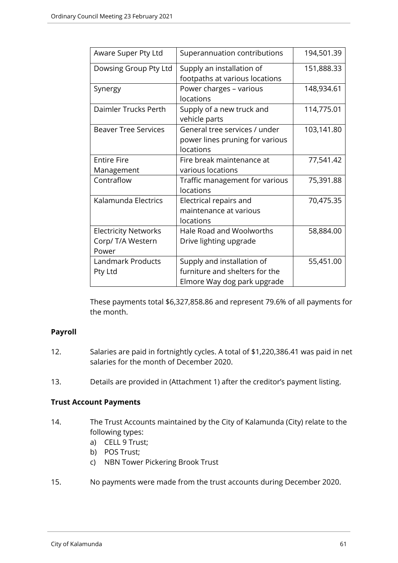| Aware Super Pty Ltd                                       | Superannuation contributions                                                                | 194,501.39 |
|-----------------------------------------------------------|---------------------------------------------------------------------------------------------|------------|
| Dowsing Group Pty Ltd                                     | Supply an installation of<br>footpaths at various locations                                 | 151,888.33 |
| Synergy                                                   | Power charges - various<br>locations                                                        | 148,934.61 |
| Daimler Trucks Perth                                      | Supply of a new truck and<br>vehicle parts                                                  | 114,775.01 |
| <b>Beaver Tree Services</b>                               | General tree services / under<br>power lines pruning for various<br>locations               | 103,141.80 |
| <b>Entire Fire</b><br>Management                          | Fire break maintenance at<br>various locations                                              | 77,541.42  |
| Contraflow                                                | Traffic management for various<br>locations                                                 | 75,391.88  |
| Kalamunda Electrics                                       | Electrical repairs and<br>maintenance at various<br>locations                               | 70,475.35  |
| <b>Electricity Networks</b><br>Corp/ T/A Western<br>Power | Hale Road and Woolworths<br>Drive lighting upgrade                                          | 58,884.00  |
| <b>Landmark Products</b><br>Pty Ltd                       | Supply and installation of<br>furniture and shelters for the<br>Elmore Way dog park upgrade | 55,451.00  |

These payments total \$6,327,858.86 and represent 79.6% of all payments for the month.

## **Payroll**

- 12. Salaries are paid in fortnightly cycles. A total of \$1,220,386.41 was paid in net salaries for the month of December 2020.
- 13. Details are provided in (Attachment 1) after the creditor's payment listing.

## **Trust Account Payments**

- 14. The Trust Accounts maintained by the City of Kalamunda (City) relate to the following types:
	- a) CELL 9 Trust;
	- b) POS Trust;
	- c) NBN Tower Pickering Brook Trust
- 15. No payments were made from the trust accounts during December 2020.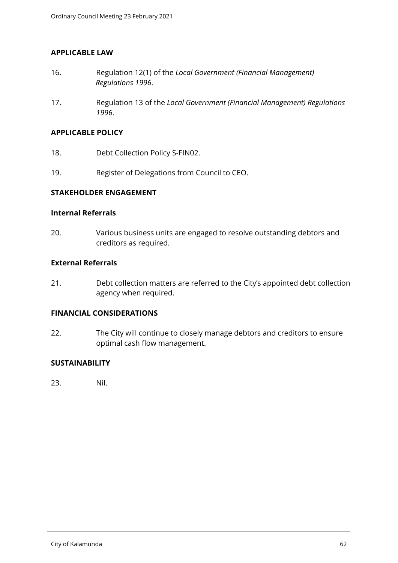#### **APPLICABLE LAW**

- 16. Regulation 12(1) of the *Local Government (Financial Management) Regulations 1996*.
- 17. Regulation 13 of the *Local Government (Financial Management) Regulations 1996*.

### **APPLICABLE POLICY**

- 18. Debt Collection Policy S-FIN02.
- 19. Register of Delegations from Council to CEO.

### **STAKEHOLDER ENGAGEMENT**

#### **Internal Referrals**

20. Various business units are engaged to resolve outstanding debtors and creditors as required.

### **External Referrals**

21. Debt collection matters are referred to the City's appointed debt collection agency when required.

## **FINANCIAL CONSIDERATIONS**

22. The City will continue to closely manage debtors and creditors to ensure optimal cash flow management.

### **SUSTAINABILITY**

23. Nil.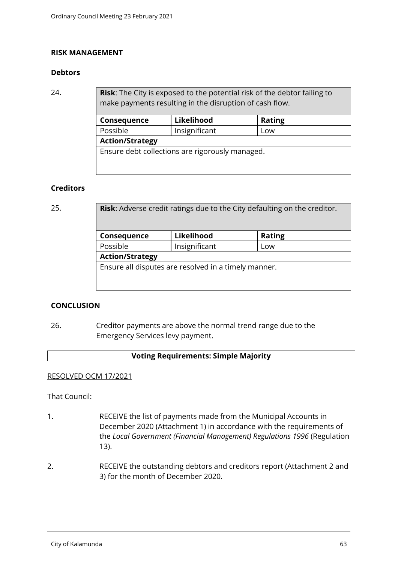#### **RISK MANAGEMENT**

### **Debtors**

24. **Risk**: The City is exposed to the potential risk of the debtor failing to make payments resulting in the disruption of cash flow.

| Consequence                                     | Likelihood | <b>Rating</b> |  |  |
|-------------------------------------------------|------------|---------------|--|--|
| Possible<br>Insignificant                       |            | Low           |  |  |
| <b>Action/Strategy</b>                          |            |               |  |  |
| Ensure debt collections are rigorously managed. |            |               |  |  |
|                                                 |            |               |  |  |

### **Creditors**

| 25. | <b>Risk:</b> Adverse credit ratings due to the City defaulting on the creditor. |               |               |  |
|-----|---------------------------------------------------------------------------------|---------------|---------------|--|
|     | Consequence                                                                     | Likelihood    | <b>Rating</b> |  |
|     | Possible                                                                        | Insignificant | Low           |  |
|     | <b>Action/Strategy</b>                                                          |               |               |  |
|     | Ensure all disputes are resolved in a timely manner.                            |               |               |  |
|     |                                                                                 |               |               |  |
|     |                                                                                 |               |               |  |

## **CONCLUSION**

26. Creditor payments are above the normal trend range due to the Emergency Services levy payment.

#### **Voting Requirements: Simple Majority**

## RESOLVED OCM 17/2021

That Council:

- 1. RECEIVE the list of payments made from the Municipal Accounts in December 2020 (Attachment 1) in accordance with the requirements of the *Local Government (Financial Management) Regulations 1996* (Regulation 13).
- 2. RECEIVE the outstanding debtors and creditors report (Attachment 2 and 3) for the month of December 2020.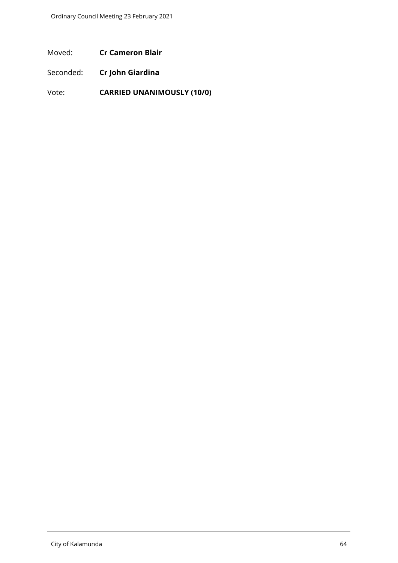Moved: **Cr Cameron Blair**

Seconded: **Cr John Giardina**

Vote: **CARRIED UNANIMOUSLY (10/0)**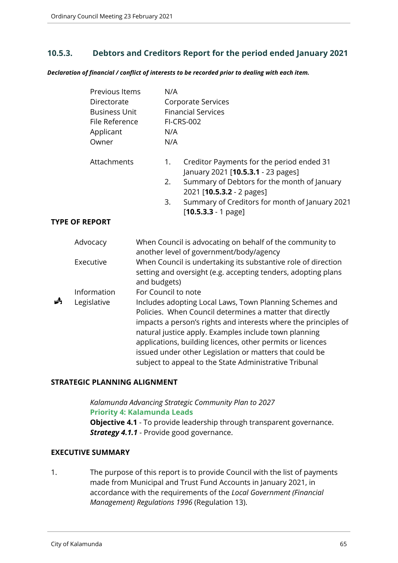# **10.5.3. Debtors and Creditors Report for the period ended January 2021**

*Declaration of financial / conflict of interests to be recorded prior to dealing with each item.*

|   | Previous Items<br>Directorate<br><b>Business Unit</b><br>File Reference<br>Applicant<br>Owner | N/A<br><b>Corporate Services</b><br><b>Financial Services</b><br><b>FI-CRS-002</b><br>N/A<br>N/A                                                                                                                                                                                                                                                                                                                                   |  |
|---|-----------------------------------------------------------------------------------------------|------------------------------------------------------------------------------------------------------------------------------------------------------------------------------------------------------------------------------------------------------------------------------------------------------------------------------------------------------------------------------------------------------------------------------------|--|
|   | Attachments                                                                                   | Creditor Payments for the period ended 31<br>1.<br>January 2021 [10.5.3.1 - 23 pages]<br>2.<br>Summary of Debtors for the month of January<br>2021 [10.5.3.2 - 2 pages]                                                                                                                                                                                                                                                            |  |
|   |                                                                                               | 3.<br>Summary of Creditors for month of January 2021<br>$[10.5.3.3 - 1$ page]                                                                                                                                                                                                                                                                                                                                                      |  |
|   | <b>TYPE OF REPORT</b>                                                                         |                                                                                                                                                                                                                                                                                                                                                                                                                                    |  |
|   | Advocacy                                                                                      | When Council is advocating on behalf of the community to<br>another level of government/body/agency                                                                                                                                                                                                                                                                                                                                |  |
|   | Executive                                                                                     | When Council is undertaking its substantive role of direction<br>setting and oversight (e.g. accepting tenders, adopting plans<br>and budgets)                                                                                                                                                                                                                                                                                     |  |
|   | Information                                                                                   | For Council to note                                                                                                                                                                                                                                                                                                                                                                                                                |  |
| 歭 | Legislative                                                                                   | Includes adopting Local Laws, Town Planning Schemes and<br>Policies. When Council determines a matter that directly<br>impacts a person's rights and interests where the principles of<br>natural justice apply. Examples include town planning<br>applications, building licences, other permits or licences<br>issued under other Legislation or matters that could be<br>subject to appeal to the State Administrative Tribunal |  |

#### **STRATEGIC PLANNING ALIGNMENT**

*Kalamunda Advancing Strategic Community Plan to 2027* **Priority 4: Kalamunda Leads Objective 4.1** - To provide leadership through transparent governance. **Strategy 4.1.1** - Provide good governance.

#### **EXECUTIVE SUMMARY**

1. The purpose of this report is to provide Council with the list of payments made from Municipal and Trust Fund Accounts in January 2021, in accordance with the requirements of the *Local Government (Financial Management) Regulations 1996* (Regulation 13).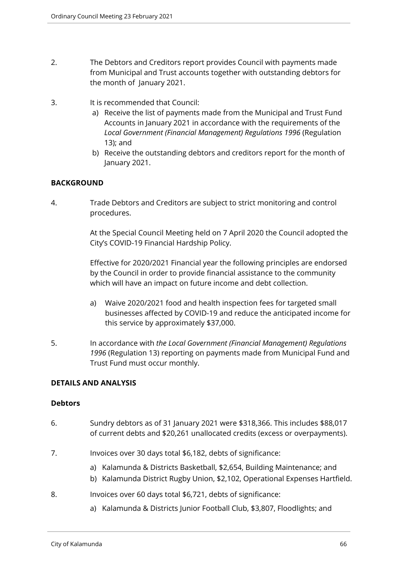- 2. The Debtors and Creditors report provides Council with payments made from Municipal and Trust accounts together with outstanding debtors for the month of January 2021.
- 3. It is recommended that Council:
	- a) Receive the list of payments made from the Municipal and Trust Fund Accounts in January 2021 in accordance with the requirements of the *Local Government (Financial Management) Regulations 1996* (Regulation 13); and
	- b) Receive the outstanding debtors and creditors report for the month of January 2021.

## **BACKGROUND**

4. Trade Debtors and Creditors are subject to strict monitoring and control procedures.

> At the Special Council Meeting held on 7 April 2020 the Council adopted the City's COVID-19 Financial Hardship Policy.

> Effective for 2020/2021 Financial year the following principles are endorsed by the Council in order to provide financial assistance to the community which will have an impact on future income and debt collection.

- a) Waive 2020/2021 food and health inspection fees for targeted small businesses affected by COVID-19 and reduce the anticipated income for this service by approximately \$37,000.
- 5. In accordance with *the Local Government (Financial Management) Regulations 1996* (Regulation 13) reporting on payments made from Municipal Fund and Trust Fund must occur monthly.

## **DETAILS AND ANALYSIS**

#### **Debtors**

- 6. Sundry debtors as of 31 January 2021 were \$318,366. This includes \$88,017 of current debts and \$20,261 unallocated credits (excess or overpayments).
- 7. Invoices over 30 days total \$6,182, debts of significance:
	- a) Kalamunda & Districts Basketball, \$2,654, Building Maintenance; and
	- b) Kalamunda District Rugby Union, \$2,102, Operational Expenses Hartfield.
- 8. Invoices over 60 days total \$6,721, debts of significance:
	- a) Kalamunda & Districts Junior Football Club, \$3,807, Floodlights; and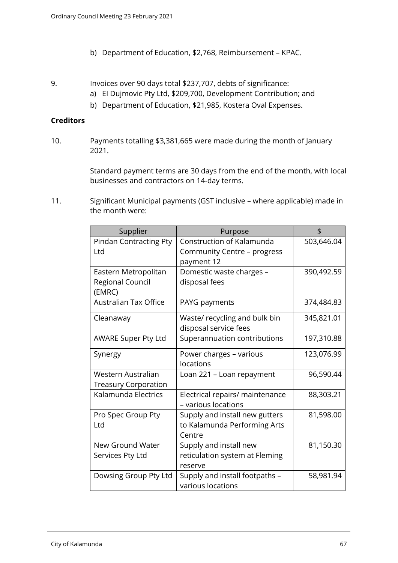- b) Department of Education, \$2,768, Reimbursement KPAC.
- 9. Invoices over 90 days total \$237,707, debts of significance:
	- a) EI Dujmovic Pty Ltd, \$209,700, Development Contribution; and
	- b) Department of Education, \$21,985, Kostera Oval Expenses.

### **Creditors**

10. Payments totalling \$3,381,665 were made during the month of January 2021.

> Standard payment terms are 30 days from the end of the month, with local businesses and contractors on 14-day terms.

11. Significant Municipal payments (GST inclusive – where applicable) made in the month were:

| Supplier                                           | Purpose                                                                  | \$         |
|----------------------------------------------------|--------------------------------------------------------------------------|------------|
| <b>Pindan Contracting Pty</b><br>Ltd               | Construction of Kalamunda<br>Community Centre - progress<br>payment 12   | 503,646.04 |
| Eastern Metropolitan<br>Regional Council<br>(EMRC) | Domestic waste charges -<br>disposal fees                                | 390,492.59 |
| <b>Australian Tax Office</b>                       | PAYG payments                                                            | 374,484.83 |
| Cleanaway                                          | Waste/ recycling and bulk bin<br>disposal service fees                   | 345,821.01 |
| <b>AWARE Super Pty Ltd</b>                         | Superannuation contributions                                             | 197,310.88 |
| Synergy                                            | Power charges - various<br>locations                                     | 123,076.99 |
| Western Australian<br><b>Treasury Corporation</b>  | Loan 221 - Loan repayment                                                | 96,590.44  |
| Kalamunda Electrics                                | Electrical repairs/ maintenance<br>- various locations                   | 88,303.21  |
| Pro Spec Group Pty<br>Ltd                          | Supply and install new gutters<br>to Kalamunda Performing Arts<br>Centre | 81,598.00  |
| New Ground Water<br>Services Pty Ltd               | Supply and install new<br>reticulation system at Fleming<br>reserve      | 81,150.30  |
| Dowsing Group Pty Ltd                              | Supply and install footpaths -<br>various locations                      | 58,981.94  |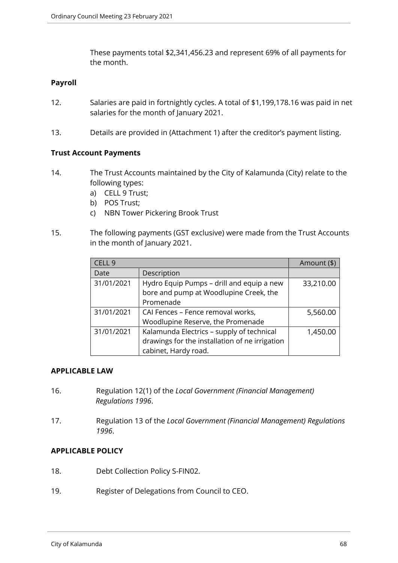These payments total \$2,341,456.23 and represent 69% of all payments for the month.

## **Payroll**

- 12. Salaries are paid in fortnightly cycles. A total of \$1,199,178.16 was paid in net salaries for the month of January 2021.
- 13. Details are provided in (Attachment 1) after the creditor's payment listing.

### **Trust Account Payments**

- 14. The Trust Accounts maintained by the City of Kalamunda (City) relate to the following types:
	- a) CELL 9 Trust;
	- b) POS Trust;
	- c) NBN Tower Pickering Brook Trust
- 15. The following payments (GST exclusive) were made from the Trust Accounts in the month of January 2021.

| CELL <sub>9</sub> |                                                | Amount (\$) |
|-------------------|------------------------------------------------|-------------|
| Date              | Description                                    |             |
| 31/01/2021        | Hydro Equip Pumps - drill and equip a new      | 33,210.00   |
|                   | bore and pump at Woodlupine Creek, the         |             |
|                   | Promenade                                      |             |
| 31/01/2021        | CAI Fences - Fence removal works,              | 5,560.00    |
|                   | Woodlupine Reserve, the Promenade              |             |
| 31/01/2021        | Kalamunda Electrics - supply of technical      | 1,450.00    |
|                   | drawings for the installation of ne irrigation |             |
|                   | cabinet, Hardy road.                           |             |

#### **APPLICABLE LAW**

- 16. Regulation 12(1) of the *Local Government (Financial Management) Regulations 1996*.
- 17. Regulation 13 of the *Local Government (Financial Management) Regulations 1996*.

### **APPLICABLE POLICY**

- 18. Debt Collection Policy S-FIN02.
- 19. Register of Delegations from Council to CEO.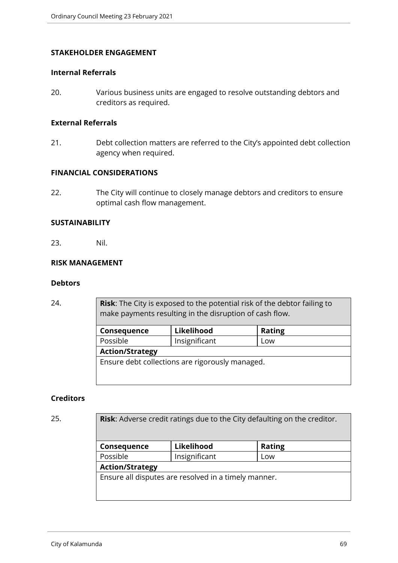#### **STAKEHOLDER ENGAGEMENT**

#### **Internal Referrals**

20. Various business units are engaged to resolve outstanding debtors and creditors as required.

#### **External Referrals**

21. Debt collection matters are referred to the City's appointed debt collection agency when required.

## **FINANCIAL CONSIDERATIONS**

22. The City will continue to closely manage debtors and creditors to ensure optimal cash flow management.

#### **SUSTAINABILITY**

23. Nil.

### **RISK MANAGEMENT**

### **Debtors**

24. **Risk**: The City is exposed to the potential risk of the debtor failing to make payments resulting in the disruption of cash flow.

| Consequence                                     | Likelihood    | <b>Rating</b> |  |  |
|-------------------------------------------------|---------------|---------------|--|--|
| Possible                                        | Insignificant | Low           |  |  |
| <b>Action/Strategy</b>                          |               |               |  |  |
| Ensure debt collections are rigorously managed. |               |               |  |  |

#### **Creditors**

25. **Risk**: Adverse credit ratings due to the City defaulting on the creditor. **Consequence** Likelihood | Rating Possible | Insignificant | Low **Action/Strategy** Ensure all disputes are resolved in a timely manner.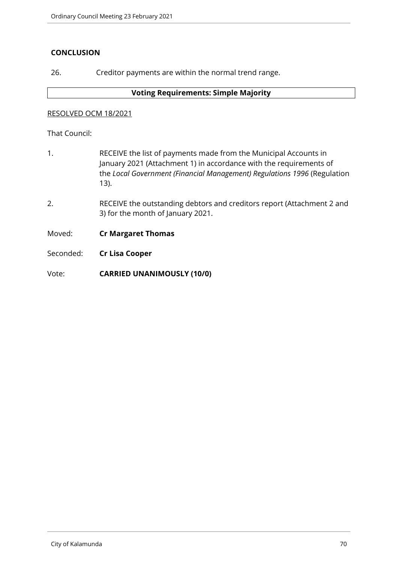## **CONCLUSION**

26. Creditor payments are within the normal trend range.

#### **Voting Requirements: Simple Majority**

#### RESOLVED OCM 18/2021

That Council:

- 1. RECEIVE the list of payments made from the Municipal Accounts in January 2021 (Attachment 1) in accordance with the requirements of the *Local Government (Financial Management) Regulations 1996* (Regulation 13).
- 2. RECEIVE the outstanding debtors and creditors report (Attachment 2 and 3) for the month of January 2021.

Moved: **Cr Margaret Thomas**

Seconded: **Cr Lisa Cooper**

Vote: **CARRIED UNANIMOUSLY (10/0)**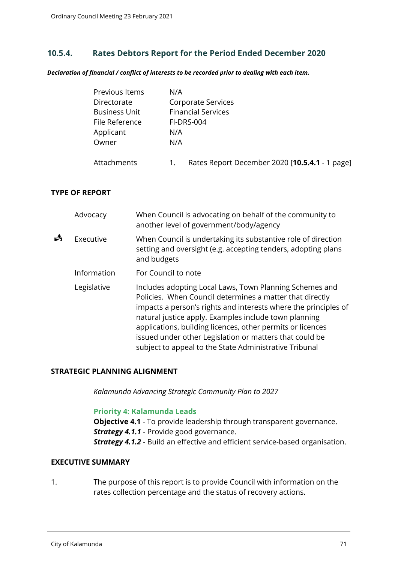## **10.5.4. Rates Debtors Report for the Period Ended December 2020**

*Declaration of financial / conflict of interests to be recorded prior to dealing with each item.*

| Previous Items       | N/A                                                  |
|----------------------|------------------------------------------------------|
| Directorate          | Corporate Services                                   |
| <b>Business Unit</b> | <b>Financial Services</b>                            |
| File Reference       | <b>FI-DRS-004</b>                                    |
| Applicant            | N/A                                                  |
| Owner                | N/A                                                  |
| Attachments          | Rates Report December 2020 [10.5.4.1 - 1 page]<br>1. |

### **TYPE OF REPORT**

|   | Advocacy    | When Council is advocating on behalf of the community to<br>another level of government/body/agency                                                                                                                                                                                                                                                                                                                                |
|---|-------------|------------------------------------------------------------------------------------------------------------------------------------------------------------------------------------------------------------------------------------------------------------------------------------------------------------------------------------------------------------------------------------------------------------------------------------|
| Å | Executive   | When Council is undertaking its substantive role of direction<br>setting and oversight (e.g. accepting tenders, adopting plans<br>and budgets                                                                                                                                                                                                                                                                                      |
|   | Information | For Council to note                                                                                                                                                                                                                                                                                                                                                                                                                |
|   | Legislative | Includes adopting Local Laws, Town Planning Schemes and<br>Policies. When Council determines a matter that directly<br>impacts a person's rights and interests where the principles of<br>natural justice apply. Examples include town planning<br>applications, building licences, other permits or licences<br>issued under other Legislation or matters that could be<br>subject to appeal to the State Administrative Tribunal |

### **STRATEGIC PLANNING ALIGNMENT**

*Kalamunda Advancing Strategic Community Plan to 2027*

#### **Priority 4: Kalamunda Leads**

**Objective 4.1** - To provide leadership through transparent governance. **Strategy 4.1.1** - Provide good governance.

*Strategy 4.1.2* - Build an effective and efficient service-based organisation.

## **EXECUTIVE SUMMARY**

1. The purpose of this report is to provide Council with information on the rates collection percentage and the status of recovery actions.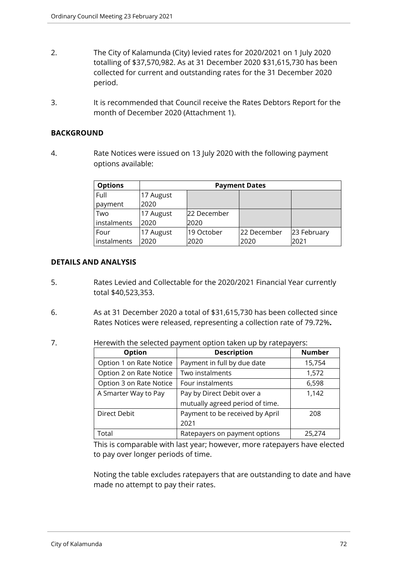- 2. The City of Kalamunda (City) levied rates for 2020/2021 on 1 July 2020 totalling of \$37,570,982. As at 31 December 2020 \$31,615,730 has been collected for current and outstanding rates for the 31 December 2020 period.
- 3. It is recommended that Council receive the Rates Debtors Report for the month of December 2020 (Attachment 1).

### **BACKGROUND**

4. Rate Notices were issued on 13 July 2020 with the following payment options available:

| <b>Options</b> | <b>Payment Dates</b> |             |             |             |
|----------------|----------------------|-------------|-------------|-------------|
| Full           | 17 August            |             |             |             |
| payment        | 2020                 |             |             |             |
| Two            | 17 August            | 22 December |             |             |
| instalments    | 2020                 | 2020        |             |             |
| Four           | 17 August            | 19 October  | 22 December | 23 February |
| instalments    | 2020                 | 2020        | 2020        | 2021        |

### **DETAILS AND ANALYSIS**

- 5. Rates Levied and Collectable for the 2020/2021 Financial Year currently total \$40,523,353.
- 6. As at 31 December 2020 a total of \$31,615,730 has been collected since Rates Notices were released, representing a collection rate of 79.72%**.**
- 7. Herewith the selected payment option taken up by ratepayers:

| Option                                          | <b>Description</b>              | <b>Number</b> |
|-------------------------------------------------|---------------------------------|---------------|
| Option 1 on Rate Notice                         | Payment in full by due date     | 15,754        |
| Option 2 on Rate Notice                         | Two instalments                 | 1,572         |
| Option 3 on Rate Notice                         | Four instalments                | 6,598         |
| A Smarter Way to Pay                            | Pay by Direct Debit over a      | 1,142         |
|                                                 | mutually agreed period of time. |               |
| Payment to be received by April<br>Direct Debit |                                 | 208           |
|                                                 | 2021                            |               |
| Total                                           | Ratepayers on payment options   | 25,274        |

This is comparable with last year; however, more ratepayers have elected to pay over longer periods of time.

Noting the table excludes ratepayers that are outstanding to date and have made no attempt to pay their rates.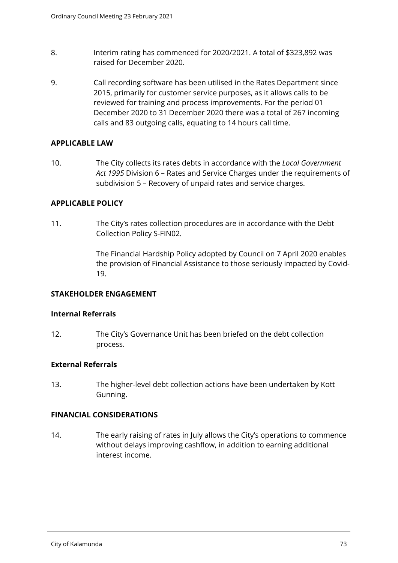- 8. Interim rating has commenced for 2020/2021. A total of \$323,892 was raised for December 2020.
- 9. Call recording software has been utilised in the Rates Department since 2015, primarily for customer service purposes, as it allows calls to be reviewed for training and process improvements. For the period 01 December 2020 to 31 December 2020 there was a total of 267 incoming calls and 83 outgoing calls, equating to 14 hours call time.

## **APPLICABLE LAW**

10. The City collects its rates debts in accordance with the *Local Government Act 1995* Division 6 – Rates and Service Charges under the requirements of subdivision 5 – Recovery of unpaid rates and service charges.

### **APPLICABLE POLICY**

11. The City's rates collection procedures are in accordance with the Debt Collection Policy S-FIN02.

> The Financial Hardship Policy adopted by Council on 7 April 2020 enables the provision of Financial Assistance to those seriously impacted by Covid-19.

#### **STAKEHOLDER ENGAGEMENT**

#### **Internal Referrals**

12. The City's Governance Unit has been briefed on the debt collection process.

## **External Referrals**

13. The higher-level debt collection actions have been undertaken by Kott Gunning.

## **FINANCIAL CONSIDERATIONS**

14. The early raising of rates in July allows the City's operations to commence without delays improving cashflow, in addition to earning additional interest income.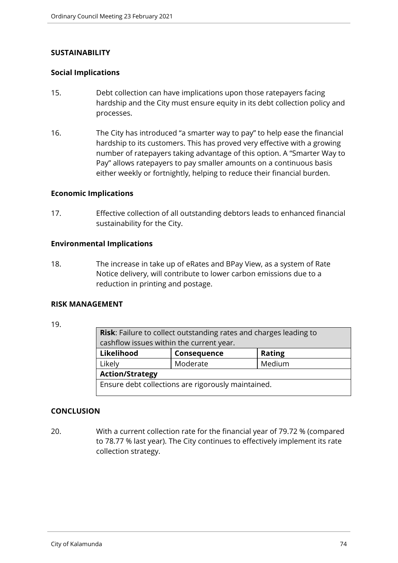### **SUSTAINABILITY**

### **Social Implications**

- 15. Debt collection can have implications upon those ratepayers facing hardship and the City must ensure equity in its debt collection policy and processes.
- 16. The City has introduced "a smarter way to pay" to help ease the financial hardship to its customers. This has proved very effective with a growing number of ratepayers taking advantage of this option. A "Smarter Way to Pay" allows ratepayers to pay smaller amounts on a continuous basis either weekly or fortnightly, helping to reduce their financial burden.

#### **Economic Implications**

17. Effective collection of all outstanding debtors leads to enhanced financial sustainability for the City.

### **Environmental Implications**

18. The increase in take up of eRates and BPay View, as a system of Rate Notice delivery, will contribute to lower carbon emissions due to a reduction in printing and postage.

## **RISK MANAGEMENT**

19.

|                                            | <b>Risk:</b> Failure to collect outstanding rates and charges leading to |        |  |
|--------------------------------------------|--------------------------------------------------------------------------|--------|--|
|                                            | cashflow issues within the current year.                                 |        |  |
| Likelihood<br><b>Rating</b><br>Consequence |                                                                          |        |  |
|                                            | Likely                                                                   | Medium |  |
|                                            | <b>Action/Strategy</b>                                                   |        |  |
|                                            | Ensure debt collections are rigorously maintained.                       |        |  |

## **CONCLUSION**

20. With a current collection rate for the financial year of 79.72 % (compared to 78.77 % last year). The City continues to effectively implement its rate collection strategy.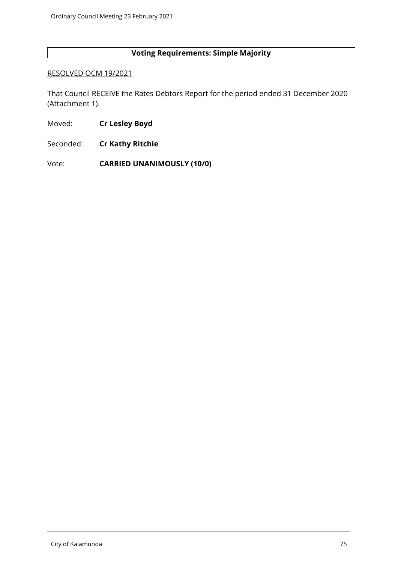## **Voting Requirements: Simple Majority**

#### RESOLVED OCM 19/2021

That Council RECEIVE the Rates Debtors Report for the period ended 31 December 2020 (Attachment 1).

- Moved: **Cr Lesley Boyd**
- Seconded: **Cr Kathy Ritchie**

Vote: **CARRIED UNANIMOUSLY (10/0)**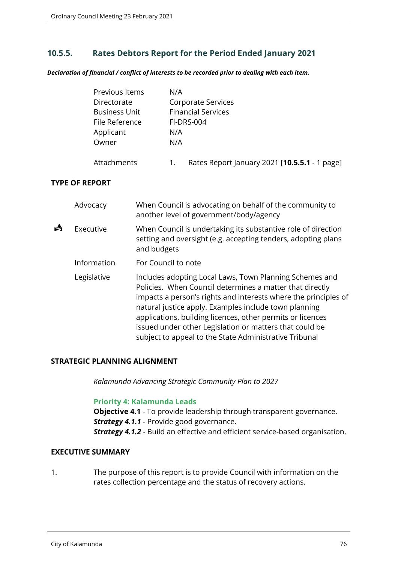# **10.5.5. Rates Debtors Report for the Period Ended January 2021**

*Declaration of financial / conflict of interests to be recorded prior to dealing with each item.*

| Previous Items       | N/A                                                 |  |  |
|----------------------|-----------------------------------------------------|--|--|
| Directorate          | Corporate Services                                  |  |  |
| <b>Business Unit</b> | <b>Financial Services</b>                           |  |  |
| File Reference       | <b>FI-DRS-004</b>                                   |  |  |
| Applicant            | N/A                                                 |  |  |
| Owner                | N/A                                                 |  |  |
| Attachments          | Rates Report January 2021 [10.5.5.1 - 1 page]<br>1. |  |  |

#### **TYPE OF REPORT**

|   | Advocacy    | When Council is advocating on behalf of the community to<br>another level of government/body/agency                                                                                                                                                                                                                                                                                                                                |
|---|-------------|------------------------------------------------------------------------------------------------------------------------------------------------------------------------------------------------------------------------------------------------------------------------------------------------------------------------------------------------------------------------------------------------------------------------------------|
| å | Executive   | When Council is undertaking its substantive role of direction<br>setting and oversight (e.g. accepting tenders, adopting plans<br>and budgets                                                                                                                                                                                                                                                                                      |
|   | Information | For Council to note                                                                                                                                                                                                                                                                                                                                                                                                                |
|   | Legislative | Includes adopting Local Laws, Town Planning Schemes and<br>Policies. When Council determines a matter that directly<br>impacts a person's rights and interests where the principles of<br>natural justice apply. Examples include town planning<br>applications, building licences, other permits or licences<br>issued under other Legislation or matters that could be<br>subject to appeal to the State Administrative Tribunal |

#### **STRATEGIC PLANNING ALIGNMENT**

*Kalamunda Advancing Strategic Community Plan to 2027*

#### **Priority 4: Kalamunda Leads**

**Objective 4.1** - To provide leadership through transparent governance. *Strategy 4.1.1* - Provide good governance. *Strategy 4.1.2* - Build an effective and efficient service-based organisation.

## **EXECUTIVE SUMMARY**

1. The purpose of this report is to provide Council with information on the rates collection percentage and the status of recovery actions.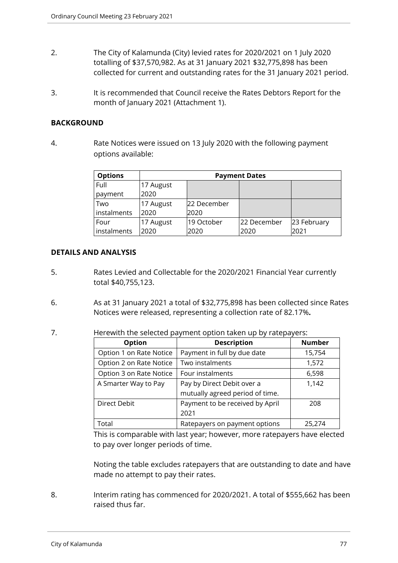- 2. The City of Kalamunda (City) levied rates for 2020/2021 on 1 July 2020 totalling of \$37,570,982. As at 31 January 2021 \$32,775,898 has been collected for current and outstanding rates for the 31 January 2021 period.
- 3. It is recommended that Council receive the Rates Debtors Report for the month of January 2021 (Attachment 1).

### **BACKGROUND**

4. Rate Notices were issued on 13 July 2020 with the following payment options available:

| <b>Options</b> | <b>Payment Dates</b> |             |             |             |
|----------------|----------------------|-------------|-------------|-------------|
| Full           | 17 August            |             |             |             |
| payment        | 2020                 |             |             |             |
| Two            | 17 August            | 22 December |             |             |
| instalments    | 2020                 | 2020        |             |             |
| Four           | 17 August            | 19 October  | 22 December | 23 February |
| instalments    | 2020                 | 2020        | 2020        | 2021        |

### **DETAILS AND ANALYSIS**

- 5. Rates Levied and Collectable for the 2020/2021 Financial Year currently total \$40,755,123.
- 6. As at 31 January 2021 a total of \$32,775,898 has been collected since Rates Notices were released, representing a collection rate of 82.17%**.**
- 7. Herewith the selected payment option taken up by ratepayers:

| Option                                      | <b>Description</b>              | <b>Number</b> |
|---------------------------------------------|---------------------------------|---------------|
| Option 1 on Rate Notice                     | Payment in full by due date     | 15,754        |
| Option 2 on Rate Notice                     | Two instalments                 | 1,572         |
| Option 3 on Rate Notice<br>Four instalments |                                 | 6,598         |
| A Smarter Way to Pay                        | Pay by Direct Debit over a      | 1,142         |
|                                             | mutually agreed period of time. |               |
| Direct Debit                                | Payment to be received by April | 208           |
|                                             | 2021                            |               |
| Total                                       | Ratepayers on payment options   | 25,274        |

This is comparable with last year; however, more ratepayers have elected to pay over longer periods of time.

Noting the table excludes ratepayers that are outstanding to date and have made no attempt to pay their rates.

8. Interim rating has commenced for 2020/2021. A total of \$555,662 has been raised thus far.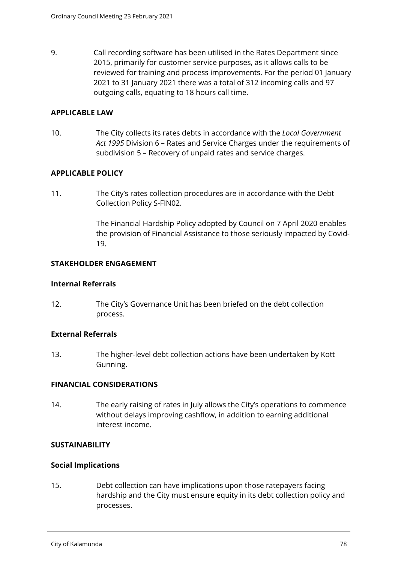9. Call recording software has been utilised in the Rates Department since 2015, primarily for customer service purposes, as it allows calls to be reviewed for training and process improvements. For the period 01 January 2021 to 31 January 2021 there was a total of 312 incoming calls and 97 outgoing calls, equating to 18 hours call time.

### **APPLICABLE LAW**

10. The City collects its rates debts in accordance with the *Local Government Act 1995* Division 6 – Rates and Service Charges under the requirements of subdivision 5 – Recovery of unpaid rates and service charges.

## **APPLICABLE POLICY**

11. The City's rates collection procedures are in accordance with the Debt Collection Policy S-FIN02.

> The Financial Hardship Policy adopted by Council on 7 April 2020 enables the provision of Financial Assistance to those seriously impacted by Covid-19.

### **STAKEHOLDER ENGAGEMENT**

### **Internal Referrals**

12. The City's Governance Unit has been briefed on the debt collection process.

## **External Referrals**

13. The higher-level debt collection actions have been undertaken by Kott Gunning.

## **FINANCIAL CONSIDERATIONS**

14. The early raising of rates in July allows the City's operations to commence without delays improving cashflow, in addition to earning additional interest income.

## **SUSTAINABILITY**

#### **Social Implications**

15. Debt collection can have implications upon those ratepayers facing hardship and the City must ensure equity in its debt collection policy and processes.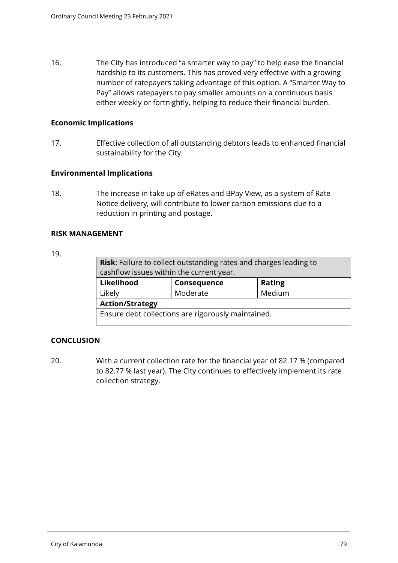16. The City has introduced "a smarter way to pay" to help ease the financial hardship to its customers. This has proved very effective with a growing number of ratepayers taking advantage of this option. A "Smarter Way to Pay" allows ratepayers to pay smaller amounts on a continuous basis either weekly or fortnightly, helping to reduce their financial burden.

## **Economic Implications**

17. Effective collection of all outstanding debtors leads to enhanced financial sustainability for the City.

### **Environmental Implications**

18. The increase in take up of eRates and BPay View, as a system of Rate Notice delivery, will contribute to lower carbon emissions due to a reduction in printing and postage.

### **RISK MANAGEMENT**

#### 19.

| Risk: Failure to collect outstanding rates and charges leading to<br>cashflow issues within the current year. |             |               |
|---------------------------------------------------------------------------------------------------------------|-------------|---------------|
| Likelihood                                                                                                    | Consequence | <b>Rating</b> |
| Likely                                                                                                        | Moderate    | Medium        |
| <b>Action/Strategy</b>                                                                                        |             |               |
| Ensure debt collections are rigorously maintained.                                                            |             |               |

## **CONCLUSION**

20. With a current collection rate for the financial year of 82.17 % (compared to 82.77 % last year). The City continues to effectively implement its rate collection strategy.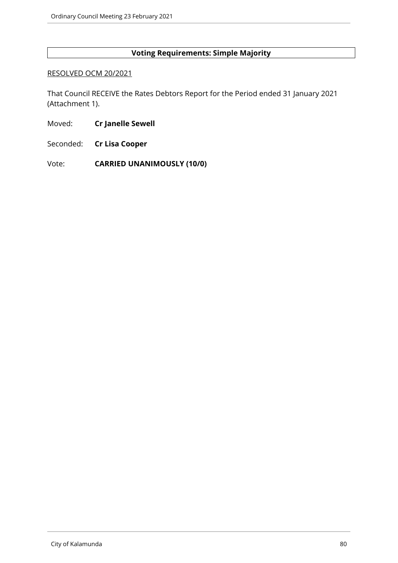## **Voting Requirements: Simple Majority**

#### RESOLVED OCM 20/2021

That Council RECEIVE the Rates Debtors Report for the Period ended 31 January 2021 (Attachment 1).

- Moved: **Cr Janelle Sewell**
- Seconded: **Cr Lisa Cooper**

Vote: **CARRIED UNANIMOUSLY (10/0)**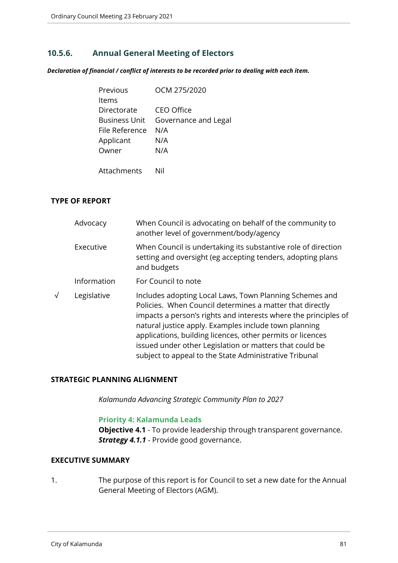# **10.5.6. Annual General Meeting of Electors**

*Declaration of financial / conflict of interests to be recorded prior to dealing with each item.*

| Previous             | OCM 275/2020         |
|----------------------|----------------------|
| Items                |                      |
| Directorate          | <b>CEO Office</b>    |
| <b>Business Unit</b> | Governance and Legal |
| File Reference       | N/A                  |
| Applicant            | N/A                  |
| Owner                | N/A                  |
|                      |                      |
| <b>Attachments</b>   |                      |

### **TYPE OF REPORT**

| Advocacy    | When Council is advocating on behalf of the community to<br>another level of government/body/agency                                                                                                                                                                                                                                                                                                                                |
|-------------|------------------------------------------------------------------------------------------------------------------------------------------------------------------------------------------------------------------------------------------------------------------------------------------------------------------------------------------------------------------------------------------------------------------------------------|
| Executive   | When Council is undertaking its substantive role of direction<br>setting and oversight (eg accepting tenders, adopting plans<br>and budgets                                                                                                                                                                                                                                                                                        |
| Information | For Council to note                                                                                                                                                                                                                                                                                                                                                                                                                |
| Legislative | Includes adopting Local Laws, Town Planning Schemes and<br>Policies. When Council determines a matter that directly<br>impacts a person's rights and interests where the principles of<br>natural justice apply. Examples include town planning<br>applications, building licences, other permits or licences<br>issued under other Legislation or matters that could be<br>subject to appeal to the State Administrative Tribunal |

#### **STRATEGIC PLANNING ALIGNMENT**

*Kalamunda Advancing Strategic Community Plan to 2027*

#### **Priority 4: Kalamunda Leads**

**Objective 4.1** - To provide leadership through transparent governance. **Strategy 4.1.1** - Provide good governance.

# **EXECUTIVE SUMMARY**

1. The purpose of this report is for Council to set a new date for the Annual General Meeting of Electors (AGM).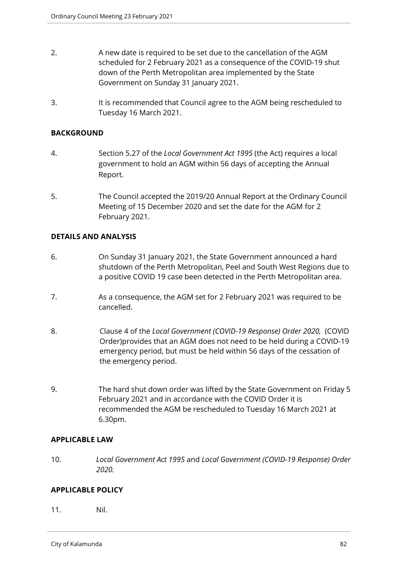- 2. A new date is required to be set due to the cancellation of the AGM scheduled for 2 February 2021 as a consequence of the COVID-19 shut down of the Perth Metropolitan area implemented by the State Government on Sunday 31 January 2021.
- 3. It is recommended that Council agree to the AGM being rescheduled to Tuesday 16 March 2021.

## **BACKGROUND**

- 4. Section 5.27 of the *Local Government Act 1995* (the Act) requires a local government to hold an AGM within 56 days of accepting the Annual Report.
- 5. The Council accepted the 2019/20 Annual Report at the Ordinary Council Meeting of 15 December 2020 and set the date for the AGM for 2 February 2021.

### **DETAILS AND ANALYSIS**

- 6. On Sunday 31 January 2021, the State Government announced a hard shutdown of the Perth Metropolitan, Peel and South West Regions due to a positive COVID 19 case been detected in the Perth Metropolitan area.
- 7. As a consequence, the AGM set for 2 February 2021 was required to be cancelled.
- 8. Clause 4 of the *Local Government (COVID-19 Response) Order 2020,* (COVID Order)provides that an AGM does not need to be held during a COVID-19 emergency period, but must be held within 56 days of the cessation of the emergency period.
- 9. The hard shut down order was lifted by the State Government on Friday 5 February 2021 and in accordance with the COVID Order it is recommended the AGM be rescheduled to Tuesday 16 March 2021 at 6.30pm.

#### **APPLICABLE LAW**

10. *Local Government Act 1995* and *Local Government (COVID-19 Response) Order 2020.*

## **APPLICABLE POLICY**

11. Nil.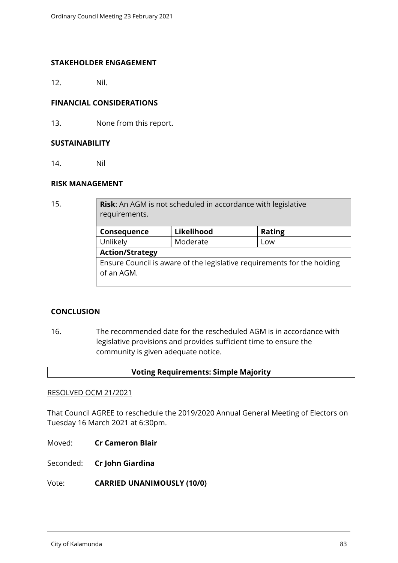### **STAKEHOLDER ENGAGEMENT**

12. Nil.

## **FINANCIAL CONSIDERATIONS**

13. None from this report.

#### **SUSTAINABILITY**

14. Nil

### **RISK MANAGEMENT**

15. **Risk**: An AGM is not scheduled in accordance with legislative requirements.

| Consequence                                                             | Likelihood | <b>Rating</b> |  |
|-------------------------------------------------------------------------|------------|---------------|--|
| Unlikely                                                                | Moderate   | Low           |  |
| <b>Action/Strategy</b>                                                  |            |               |  |
| Ensure Council is aware of the legislative requirements for the holding |            |               |  |
| of an AGM.                                                              |            |               |  |
|                                                                         |            |               |  |

## **CONCLUSION**

16. The recommended date for the rescheduled AGM is in accordance with legislative provisions and provides sufficient time to ensure the community is given adequate notice.

#### **Voting Requirements: Simple Majority**

#### RESOLVED OCM 21/2021

That Council AGREE to reschedule the 2019/2020 Annual General Meeting of Electors on Tuesday 16 March 2021 at 6:30pm.

Moved: **Cr Cameron Blair**

Seconded: **Cr John Giardina**

Vote: **CARRIED UNANIMOUSLY (10/0)**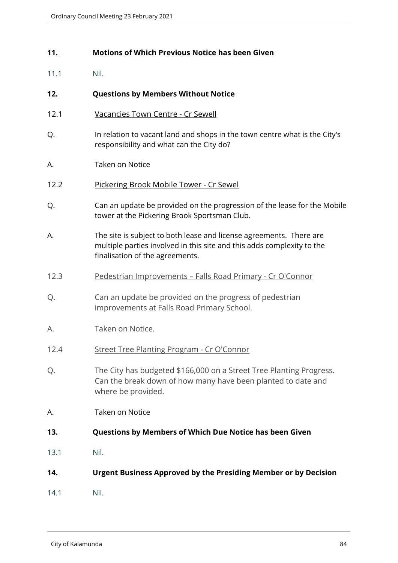## **11. Motions of Which Previous Notice has been Given**

11.1 Nil.

## **12. Questions by Members Without Notice**

- 12.1 Vacancies Town Centre Cr Sewell
- Q. In relation to vacant land and shops in the town centre what is the City's responsibility and what can the City do?
- A. Taken on Notice
- 12.2 Pickering Brook Mobile Tower Cr Sewel
- Q. Can an update be provided on the progression of the lease for the Mobile tower at the Pickering Brook Sportsman Club.
- A. The site is subject to both lease and license agreements. There are multiple parties involved in this site and this adds complexity to the finalisation of the agreements.
- 12.3 Pedestrian Improvements Falls Road Primary Cr O'Connor
- Q. Can an update be provided on the progress of pedestrian improvements at Falls Road Primary School.
- A. Taken on Notice.
- 12.4 Street Tree Planting Program Cr O'Connor
- Q. The City has budgeted \$166,000 on a Street Tree Planting Progress. Can the break down of how many have been planted to date and where be provided.
- A. Taken on Notice
- **13. Questions by Members of Which Due Notice has been Given**
- 13.1 Nil.
- **14. Urgent Business Approved by the Presiding Member or by Decision**
- 14.1 Nil.